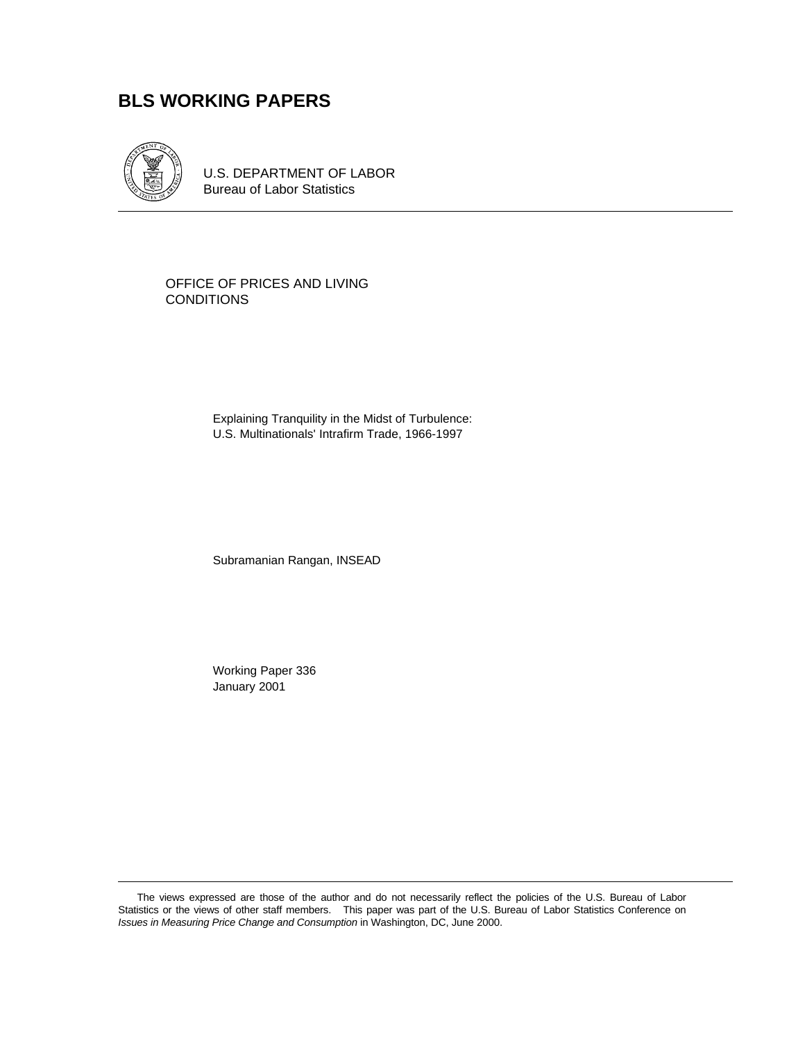# **BLS WORKING PAPERS**



U.S. DEPARTMENT OF LABOR Bureau of Labor Statistics

OFFICE OF PRICES AND LIVING CONDITIONS

> Explaining Tranquility in the Midst of Turbulence: U.S. Multinationals' Intrafirm Trade, 1966-1997

Subramanian Rangan, INSEAD

Working Paper 336 January 2001

The views expressed are those of the author and do not necessarily reflect the policies of the U.S. Bureau of Labor Statistics or the views of other staff members. This paper was part of the U.S. Bureau of Labor Statistics Conference on *Issues in Measuring Price Change and Consumption* in Washington, DC, June 2000.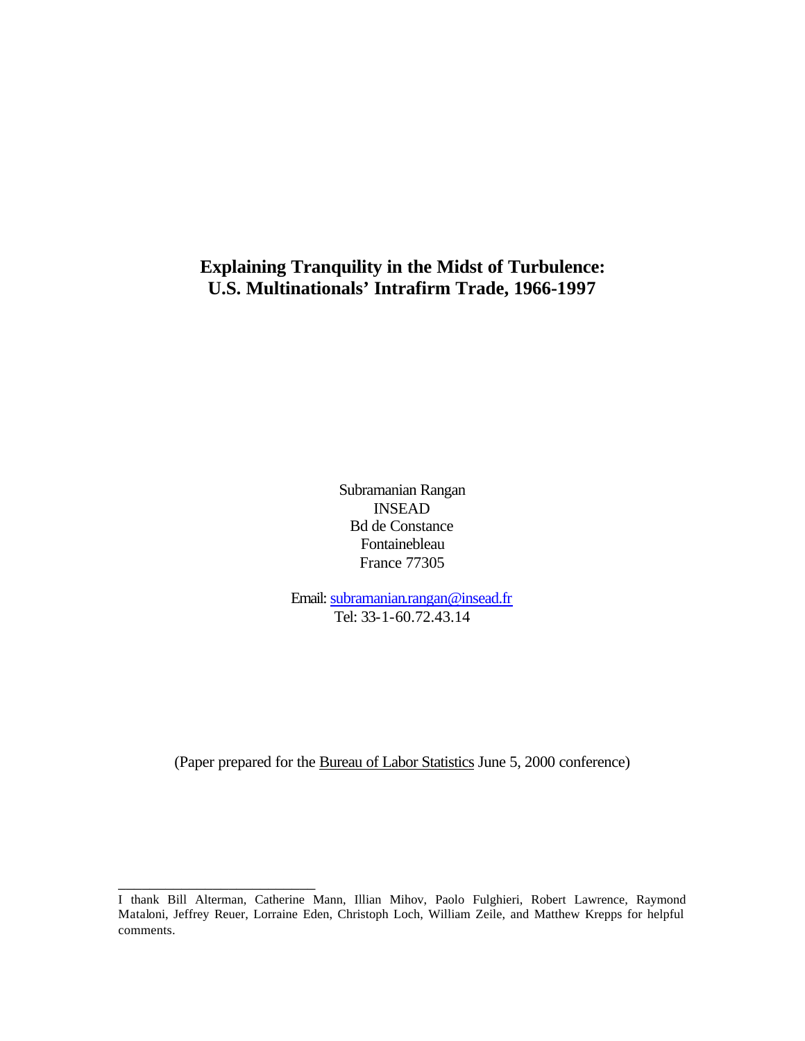## **Explaining Tranquility in the Midst of Turbulence: U.S. Multinationals' Intrafirm Trade, 1966-1997**

Subramanian Rangan INSEAD Bd de Constance Fontainebleau France 77305

Email: subramanian.rangan@insead.fr Tel: 33-1-60.72.43.14

(Paper prepared for the Bureau of Labor Statistics June 5, 2000 conference)

\_\_\_\_\_\_\_\_\_\_\_\_\_\_\_\_\_\_\_\_\_\_\_\_\_

I thank Bill Alterman, Catherine Mann, Illian Mihov, Paolo Fulghieri, Robert Lawrence, Raymond Mataloni, Jeffrey Reuer, Lorraine Eden, Christoph Loch, William Zeile, and Matthew Krepps for helpful comments.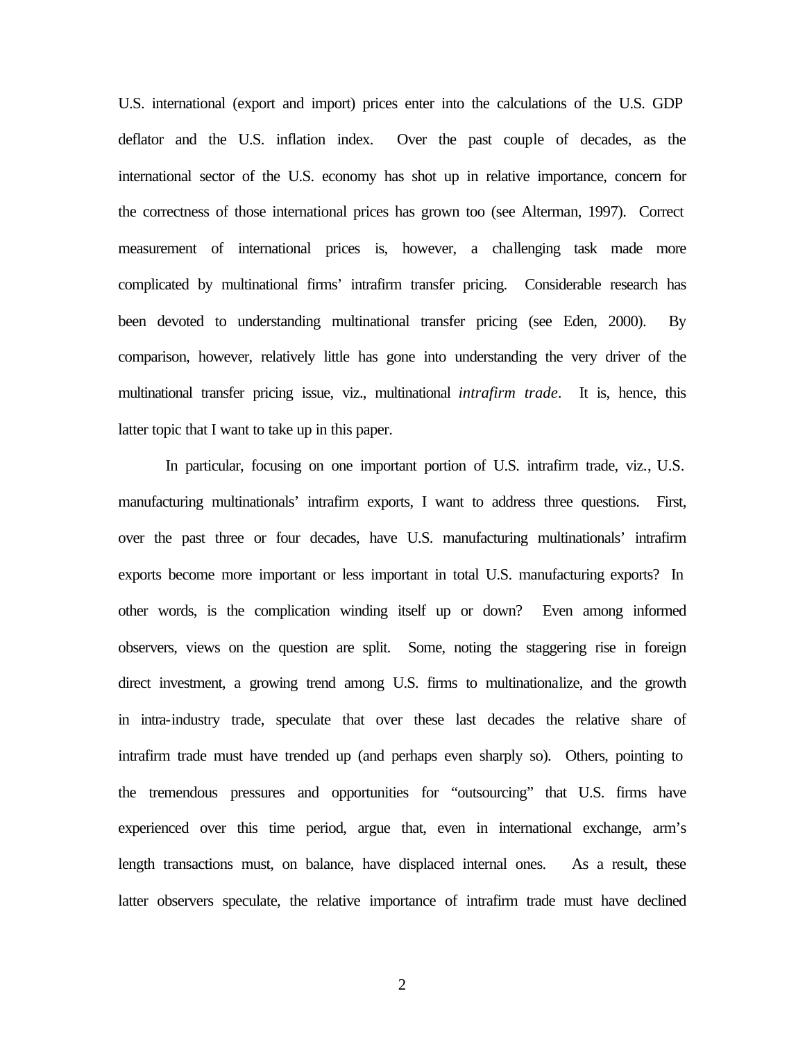U.S. international (export and import) prices enter into the calculations of the U.S. GDP deflator and the U.S. inflation index. Over the past couple of decades, as the international sector of the U.S. economy has shot up in relative importance, concern for the correctness of those international prices has grown too (see Alterman, 1997). Correct measurement of international prices is, however, a challenging task made more complicated by multinational firms' intrafirm transfer pricing. Considerable research has been devoted to understanding multinational transfer pricing (see Eden, 2000). By comparison, however, relatively little has gone into understanding the very driver of the multinational transfer pricing issue, viz., multinational *intrafirm trade*. It is, hence, this latter topic that I want to take up in this paper.

In particular, focusing on one important portion of U.S. intrafirm trade, viz., U.S. manufacturing multinationals' intrafirm exports, I want to address three questions. First, over the past three or four decades, have U.S. manufacturing multinationals' intrafirm exports become more important or less important in total U.S. manufacturing exports? In other words, is the complication winding itself up or down? Even among informed observers, views on the question are split. Some, noting the staggering rise in foreign direct investment, a growing trend among U.S. firms to multinationalize, and the growth in intra-industry trade, speculate that over these last decades the relative share of intrafirm trade must have trended up (and perhaps even sharply so). Others, pointing to the tremendous pressures and opportunities for "outsourcing" that U.S. firms have experienced over this time period, argue that, even in international exchange, arm's length transactions must, on balance, have displaced internal ones. As a result, these latter observers speculate, the relative importance of intrafirm trade must have declined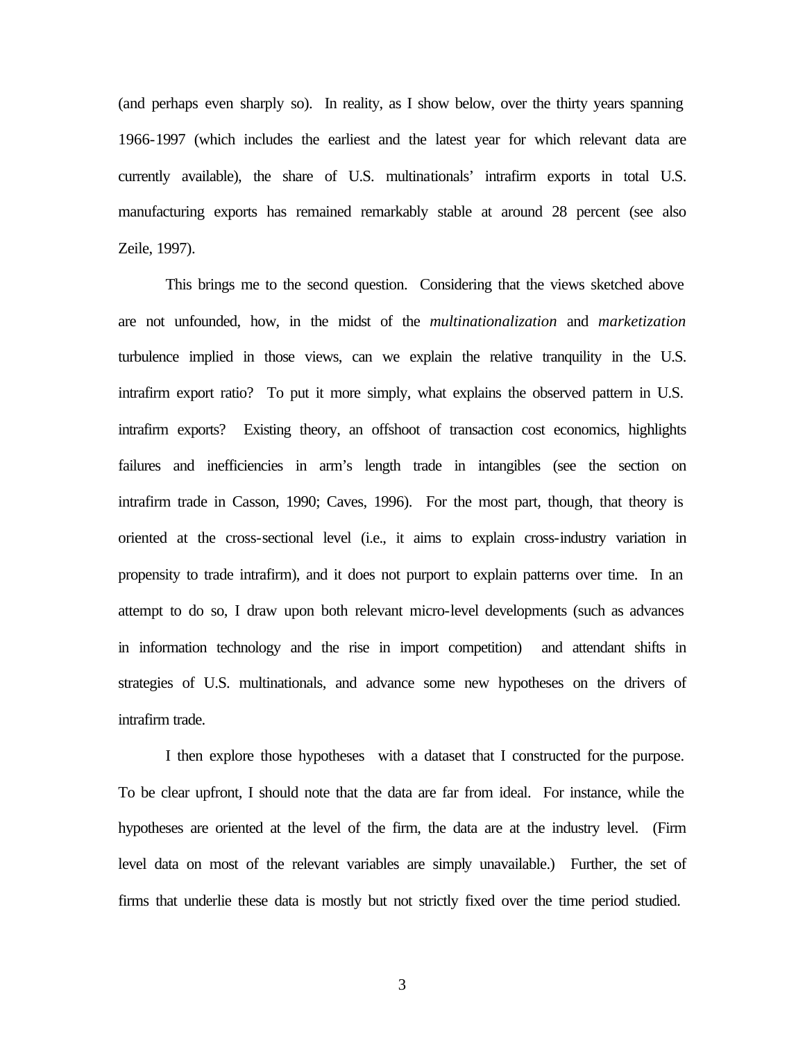(and perhaps even sharply so). In reality, as I show below, over the thirty years spanning 1966-1997 (which includes the earliest and the latest year for which relevant data are currently available), the share of U.S. multinationals' intrafirm exports in total U.S. manufacturing exports has remained remarkably stable at around 28 percent (see also Zeile, 1997).

This brings me to the second question. Considering that the views sketched above are not unfounded, how, in the midst of the *multinationalization* and *marketization* turbulence implied in those views, can we explain the relative tranquility in the U.S. intrafirm export ratio? To put it more simply, what explains the observed pattern in U.S. intrafirm exports? Existing theory, an offshoot of transaction cost economics, highlights failures and inefficiencies in arm's length trade in intangibles (see the section on intrafirm trade in Casson, 1990; Caves, 1996). For the most part, though, that theory is oriented at the cross-sectional level (i.e., it aims to explain cross-industry variation in propensity to trade intrafirm), and it does not purport to explain patterns over time. In an attempt to do so, I draw upon both relevant micro-level developments (such as advances in information technology and the rise in import competition) and attendant shifts in strategies of U.S. multinationals, and advance some new hypotheses on the drivers of intrafirm trade.

I then explore those hypotheses with a dataset that I constructed for the purpose. To be clear upfront, I should note that the data are far from ideal. For instance, while the hypotheses are oriented at the level of the firm, the data are at the industry level. (Firm level data on most of the relevant variables are simply unavailable.) Further, the set of firms that underlie these data is mostly but not strictly fixed over the time period studied.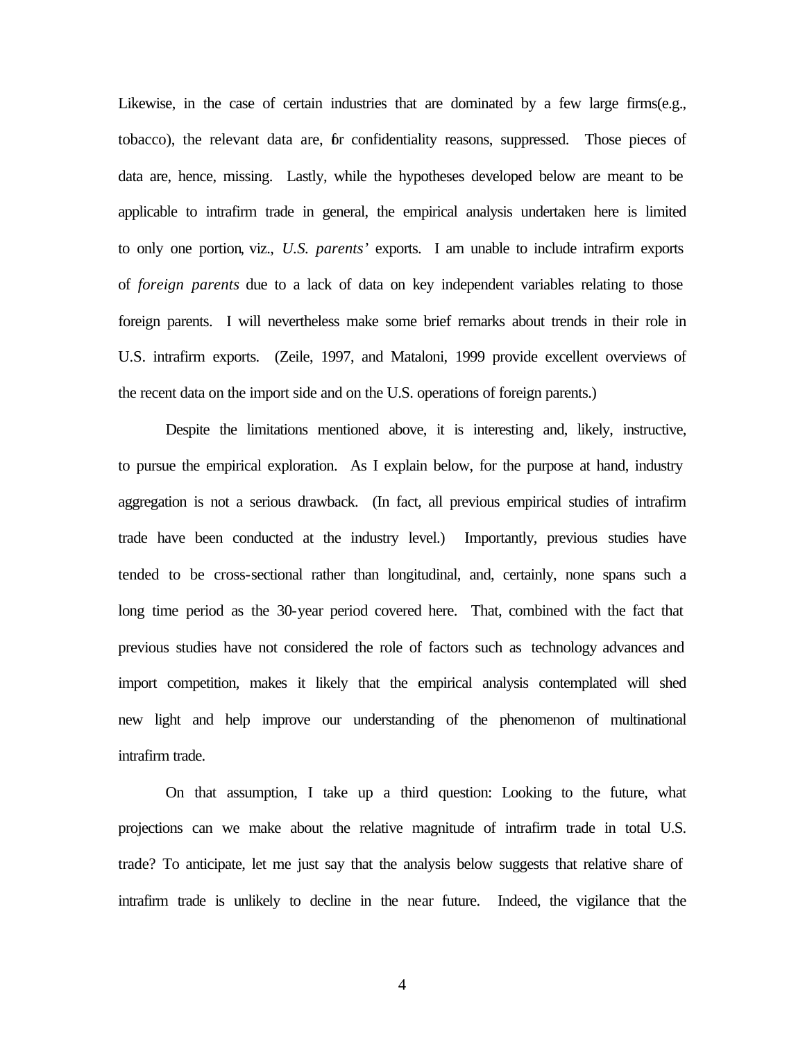Likewise, in the case of certain industries that are dominated by a few large firms(e.g., tobacco), the relevant data are, for confidentiality reasons, suppressed. Those pieces of data are, hence, missing. Lastly, while the hypotheses developed below are meant to be applicable to intrafirm trade in general, the empirical analysis undertaken here is limited to only one portion, viz., *U.S. parents'* exports. I am unable to include intrafirm exports of *foreign parents* due to a lack of data on key independent variables relating to those foreign parents. I will nevertheless make some brief remarks about trends in their role in U.S. intrafirm exports. (Zeile, 1997, and Mataloni, 1999 provide excellent overviews of the recent data on the import side and on the U.S. operations of foreign parents.)

Despite the limitations mentioned above, it is interesting and, likely, instructive, to pursue the empirical exploration. As I explain below, for the purpose at hand, industry aggregation is not a serious drawback. (In fact, all previous empirical studies of intrafirm trade have been conducted at the industry level.) Importantly, previous studies have tended to be cross-sectional rather than longitudinal, and, certainly, none spans such a long time period as the 30-year period covered here. That, combined with the fact that previous studies have not considered the role of factors such as technology advances and import competition, makes it likely that the empirical analysis contemplated will shed new light and help improve our understanding of the phenomenon of multinational intrafirm trade.

On that assumption, I take up a third question: Looking to the future, what projections can we make about the relative magnitude of intrafirm trade in total U.S. trade? To anticipate, let me just say that the analysis below suggests that relative share of intrafirm trade is unlikely to decline in the near future. Indeed, the vigilance that the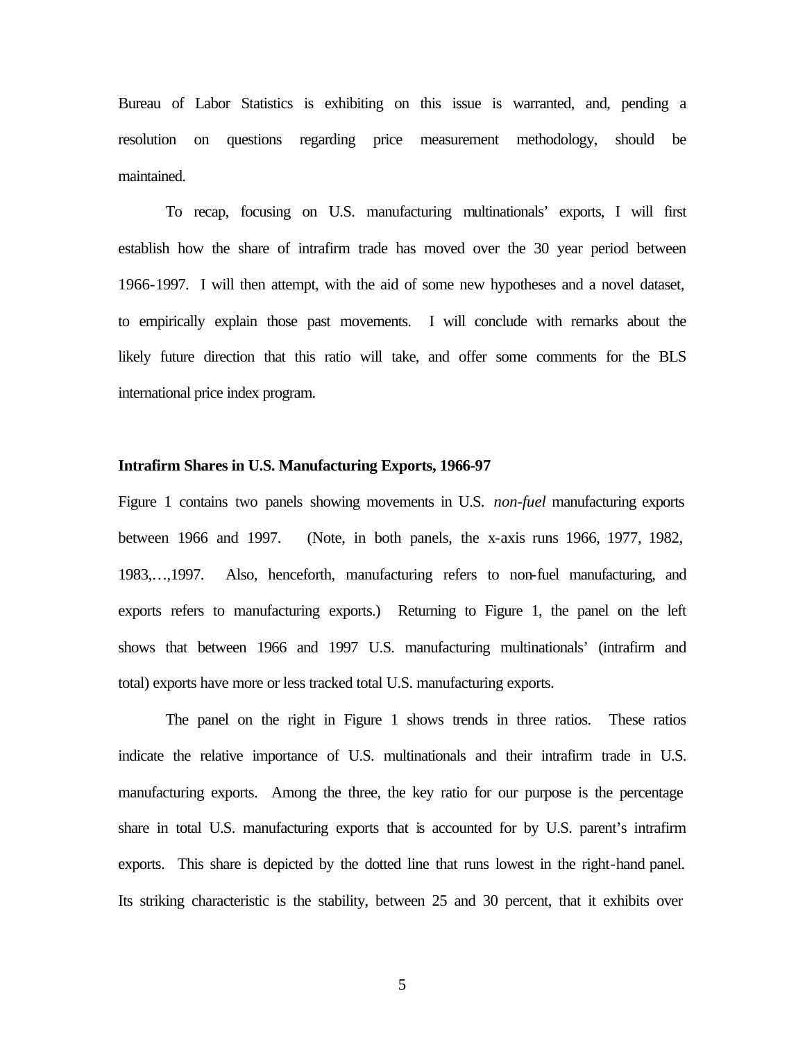Bureau of Labor Statistics is exhibiting on this issue is warranted, and, pending a resolution on questions regarding price measurement methodology, should be maintained.

To recap, focusing on U.S. manufacturing multinationals' exports, I will first establish how the share of intrafirm trade has moved over the 30 year period between 1966-1997. I will then attempt, with the aid of some new hypotheses and a novel dataset, to empirically explain those past movements. I will conclude with remarks about the likely future direction that this ratio will take, and offer some comments for the BLS international price index program.

#### **Intrafirm Shares in U.S. Manufacturing Exports, 1966-97**

Figure 1 contains two panels showing movements in U.S. *non-fuel* manufacturing exports between 1966 and 1997. (Note, in both panels, the x-axis runs 1966, 1977, 1982, 1983,…,1997. Also, henceforth, manufacturing refers to non-fuel manufacturing, and exports refers to manufacturing exports.) Returning to Figure 1, the panel on the left shows that between 1966 and 1997 U.S. manufacturing multinationals' (intrafirm and total) exports have more or less tracked total U.S. manufacturing exports.

The panel on the right in Figure 1 shows trends in three ratios. These ratios indicate the relative importance of U.S. multinationals and their intrafirm trade in U.S. manufacturing exports. Among the three, the key ratio for our purpose is the percentage share in total U.S. manufacturing exports that is accounted for by U.S. parent's intrafirm exports. This share is depicted by the dotted line that runs lowest in the right-hand panel. Its striking characteristic is the stability, between 25 and 30 percent, that it exhibits over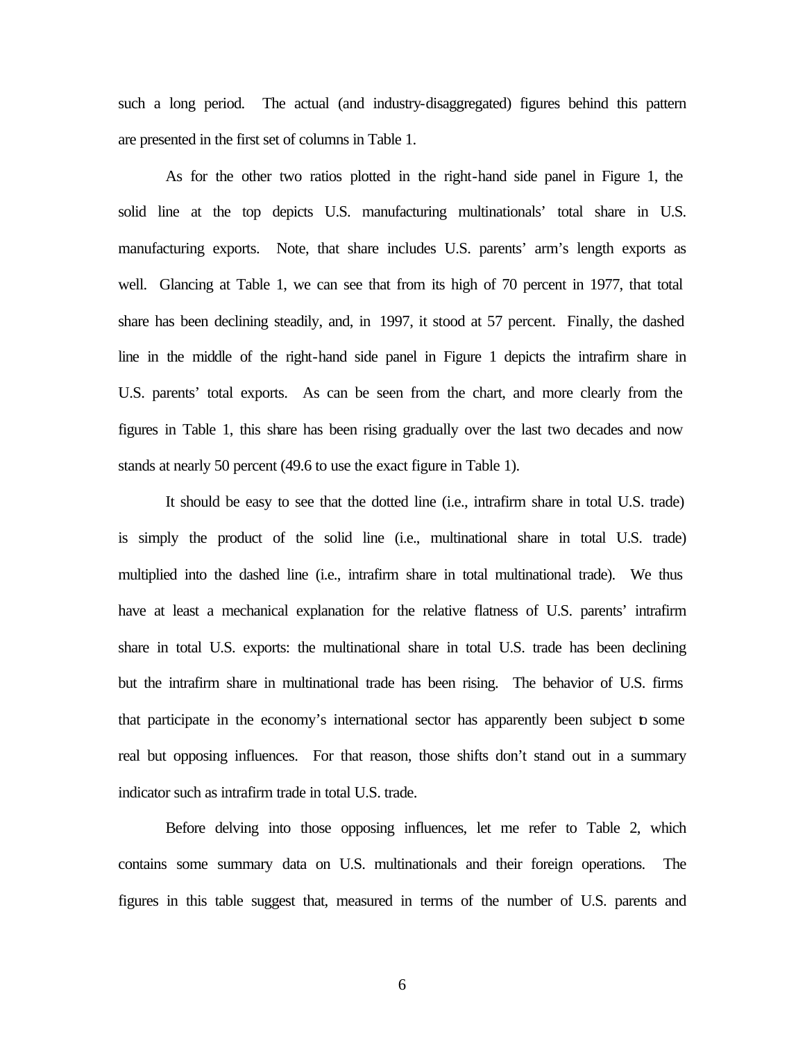such a long period. The actual (and industry-disaggregated) figures behind this pattern are presented in the first set of columns in Table 1.

As for the other two ratios plotted in the right-hand side panel in Figure 1, the solid line at the top depicts U.S. manufacturing multinationals' total share in U.S. manufacturing exports. Note, that share includes U.S. parents' arm's length exports as well. Glancing at Table 1, we can see that from its high of 70 percent in 1977, that total share has been declining steadily, and, in 1997, it stood at 57 percent. Finally, the dashed line in the middle of the right-hand side panel in Figure 1 depicts the intrafirm share in U.S. parents' total exports. As can be seen from the chart, and more clearly from the figures in Table 1, this share has been rising gradually over the last two decades and now stands at nearly 50 percent (49.6 to use the exact figure in Table 1).

It should be easy to see that the dotted line (i.e., intrafirm share in total U.S. trade) is simply the product of the solid line (i.e., multinational share in total U.S. trade) multiplied into the dashed line (i.e., intrafirm share in total multinational trade). We thus have at least a mechanical explanation for the relative flatness of U.S. parents' intrafirm share in total U.S. exports: the multinational share in total U.S. trade has been declining but the intrafirm share in multinational trade has been rising. The behavior of U.S. firms that participate in the economy's international sector has apparently been subject to some real but opposing influences. For that reason, those shifts don't stand out in a summary indicator such as intrafirm trade in total U.S. trade.

Before delving into those opposing influences, let me refer to Table 2, which contains some summary data on U.S. multinationals and their foreign operations. The figures in this table suggest that, measured in terms of the number of U.S. parents and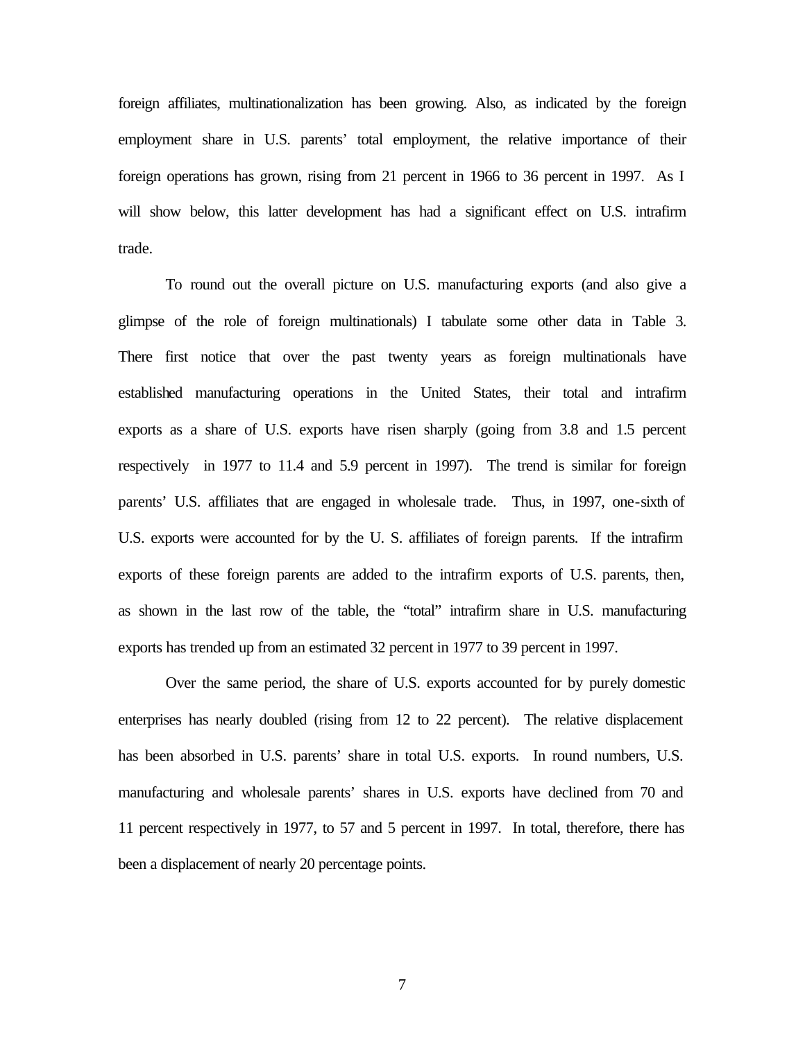foreign affiliates, multinationalization has been growing. Also, as indicated by the foreign employment share in U.S. parents' total employment, the relative importance of their foreign operations has grown, rising from 21 percent in 1966 to 36 percent in 1997. As I will show below, this latter development has had a significant effect on U.S. intrafirm trade.

To round out the overall picture on U.S. manufacturing exports (and also give a glimpse of the role of foreign multinationals) I tabulate some other data in Table 3. There first notice that over the past twenty years as foreign multinationals have established manufacturing operations in the United States, their total and intrafirm exports as a share of U.S. exports have risen sharply (going from 3.8 and 1.5 percent respectively in 1977 to 11.4 and 5.9 percent in 1997). The trend is similar for foreign parents' U.S. affiliates that are engaged in wholesale trade. Thus, in 1997, one-sixth of U.S. exports were accounted for by the U. S. affiliates of foreign parents. If the intrafirm exports of these foreign parents are added to the intrafirm exports of U.S. parents, then, as shown in the last row of the table, the "total" intrafirm share in U.S. manufacturing exports has trended up from an estimated 32 percent in 1977 to 39 percent in 1997.

Over the same period, the share of U.S. exports accounted for by purely domestic enterprises has nearly doubled (rising from 12 to 22 percent). The relative displacement has been absorbed in U.S. parents' share in total U.S. exports. In round numbers, U.S. manufacturing and wholesale parents' shares in U.S. exports have declined from 70 and 11 percent respectively in 1977, to 57 and 5 percent in 1997. In total, therefore, there has been a displacement of nearly 20 percentage points.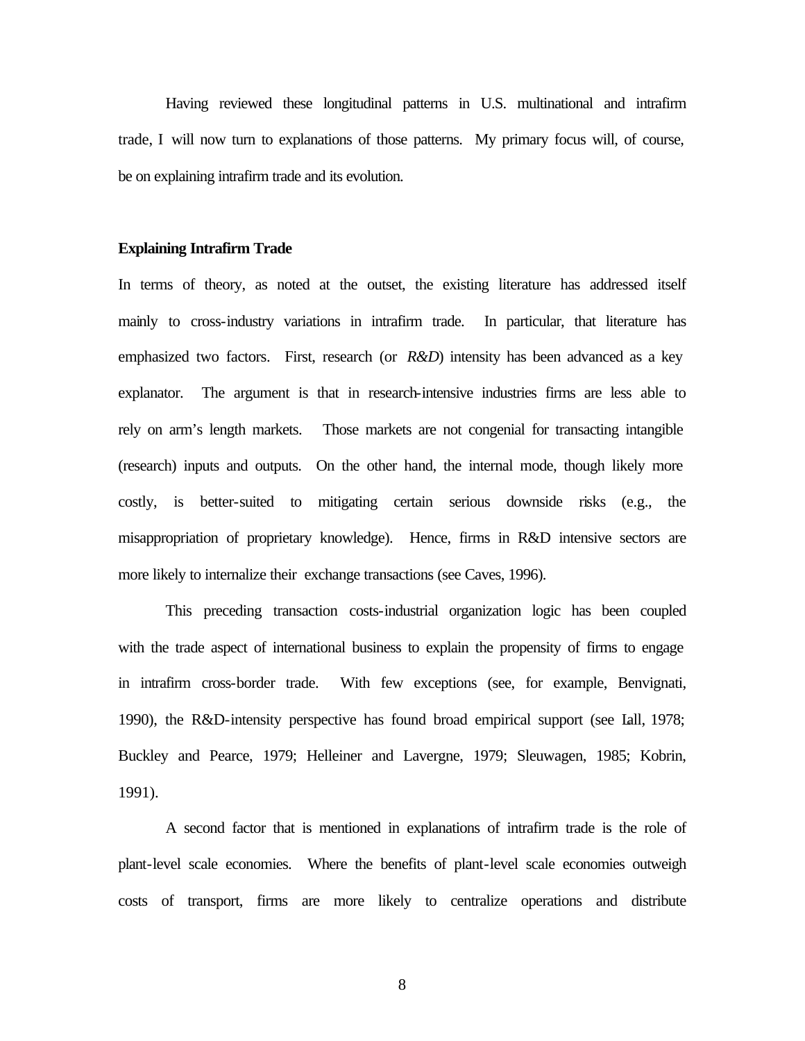Having reviewed these longitudinal patterns in U.S. multinational and intrafirm trade, I will now turn to explanations of those patterns. My primary focus will, of course, be on explaining intrafirm trade and its evolution.

#### **Explaining Intrafirm Trade**

In terms of theory, as noted at the outset, the existing literature has addressed itself mainly to cross-industry variations in intrafirm trade. In particular, that literature has emphasized two factors. First, research (or *R&D*) intensity has been advanced as a key explanator. The argument is that in research-intensive industries firms are less able to rely on arm's length markets. Those markets are not congenial for transacting intangible (research) inputs and outputs. On the other hand, the internal mode, though likely more costly, is better-suited to mitigating certain serious downside risks (e.g., the misappropriation of proprietary knowledge). Hence, firms in R&D intensive sectors are more likely to internalize their exchange transactions (see Caves, 1996).

This preceding transaction costs-industrial organization logic has been coupled with the trade aspect of international business to explain the propensity of firms to engage in intrafirm cross-border trade. With few exceptions (see, for example, Benvignati, 1990), the R&D-intensity perspective has found broad empirical support (see Lall, 1978; Buckley and Pearce, 1979; Helleiner and Lavergne, 1979; Sleuwagen, 1985; Kobrin, 1991).

A second factor that is mentioned in explanations of intrafirm trade is the role of plant-level scale economies. Where the benefits of plant-level scale economies outweigh costs of transport, firms are more likely to centralize operations and distribute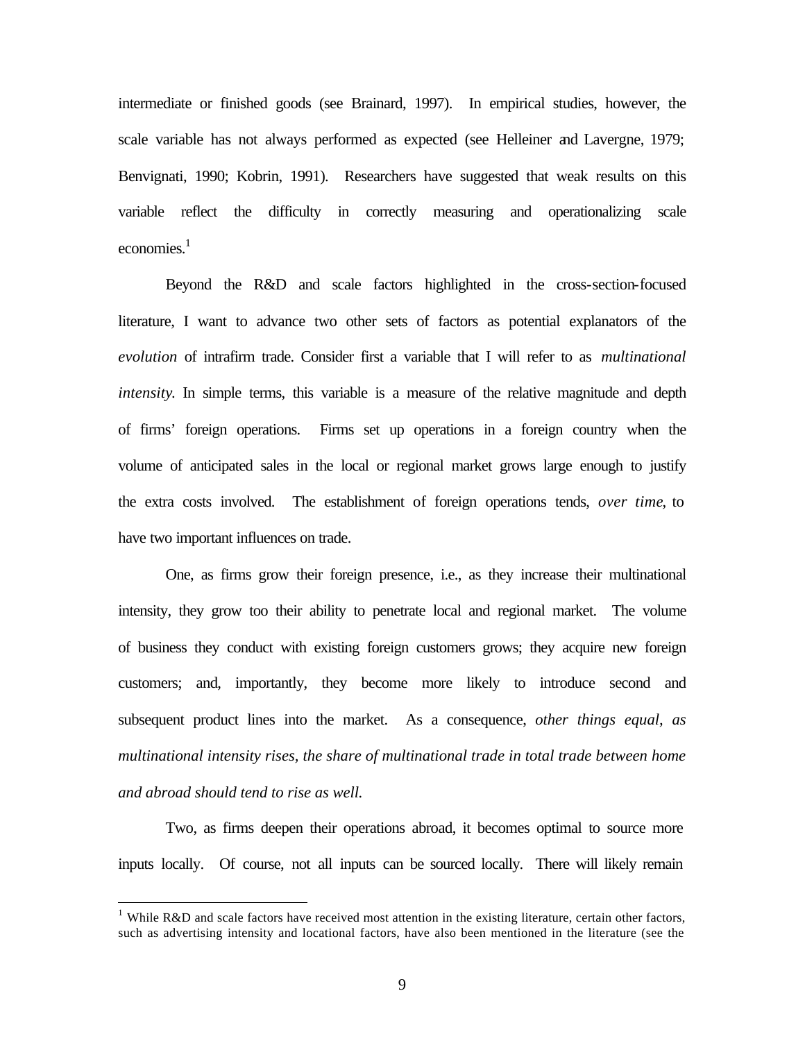intermediate or finished goods (see Brainard, 1997). In empirical studies, however, the scale variable has not always performed as expected (see Helleiner and Lavergne, 1979; Benvignati, 1990; Kobrin, 1991). Researchers have suggested that weak results on this variable reflect the difficulty in correctly measuring and operationalizing scale economies. $<sup>1</sup>$ </sup>

Beyond the R&D and scale factors highlighted in the cross-section-focused literature, I want to advance two other sets of factors as potential explanators of the *evolution* of intrafirm trade. Consider first a variable that I will refer to as *multinational intensity*. In simple terms, this variable is a measure of the relative magnitude and depth of firms' foreign operations. Firms set up operations in a foreign country when the volume of anticipated sales in the local or regional market grows large enough to justify the extra costs involved. The establishment of foreign operations tends, *over time*, to have two important influences on trade.

One, as firms grow their foreign presence, i.e., as they increase their multinational intensity, they grow too their ability to penetrate local and regional market. The volume of business they conduct with existing foreign customers grows; they acquire new foreign customers; and, importantly, they become more likely to introduce second and subsequent product lines into the market. As a consequence, *other things equal, as multinational intensity rises, the share of multinational trade in total trade between home and abroad should tend to rise as well.*

Two, as firms deepen their operations abroad, it becomes optimal to source more inputs locally. Of course, not all inputs can be sourced locally. There will likely remain

 $\overline{a}$ 

<sup>&</sup>lt;sup>1</sup> While R&D and scale factors have received most attention in the existing literature, certain other factors, such as advertising intensity and locational factors, have also been mentioned in the literature (see the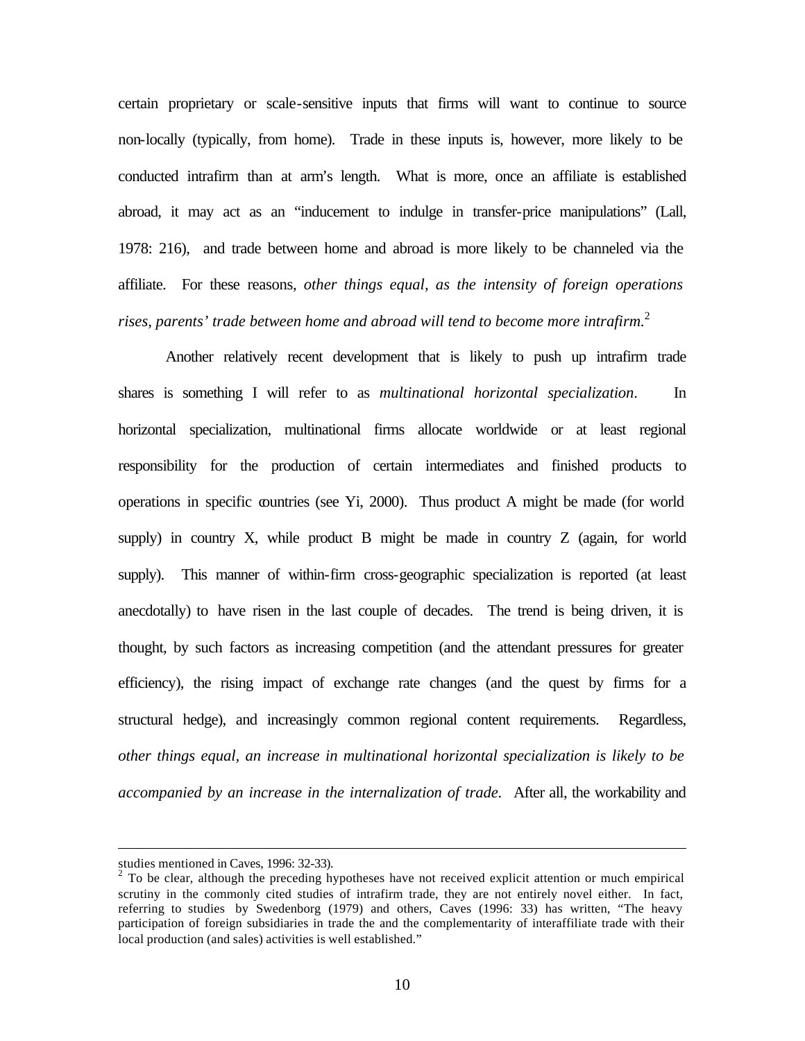certain proprietary or scale-sensitive inputs that firms will want to continue to source non-locally (typically, from home). Trade in these inputs is, however, more likely to be conducted intrafirm than at arm's length. What is more, once an affiliate is established abroad, it may act as an "inducement to indulge in transfer-price manipulations" (Lall, 1978: 216), and trade between home and abroad is more likely to be channeled via the affiliate. For these reasons, *other things equal, as the intensity of foreign operations rises, parents' trade between home and abroad will tend to become more intrafirm.*<sup>2</sup>

Another relatively recent development that is likely to push up intrafirm trade shares is something I will refer to as *multinational horizontal specialization*. In horizontal specialization, multinational firms allocate worldwide or at least regional responsibility for the production of certain intermediates and finished products to operations in specific countries (see Yi, 2000). Thus product A might be made (for world supply) in country  $X$ , while product  $B$  might be made in country  $Z$  (again, for world supply). This manner of within-firm cross-geographic specialization is reported (at least anecdotally) to have risen in the last couple of decades. The trend is being driven, it is thought, by such factors as increasing competition (and the attendant pressures for greater efficiency), the rising impact of exchange rate changes (and the quest by firms for a structural hedge), and increasingly common regional content requirements. Regardless, *other things equal, an increase in multinational horizontal specialization is likely to be accompanied by an increase in the internalization of trade.* After all, the workability and

 $\overline{a}$ 

studies mentioned in Caves, 1996: 32-33).

 $2^2$  To be clear, although the preceding hypotheses have not received explicit attention or much empirical scrutiny in the commonly cited studies of intrafirm trade, they are not entirely novel either. In fact, referring to studies by Swedenborg (1979) and others, Caves (1996: 33) has written, "The heavy participation of foreign subsidiaries in trade the and the complementarity of interaffiliate trade with their local production (and sales) activities is well established."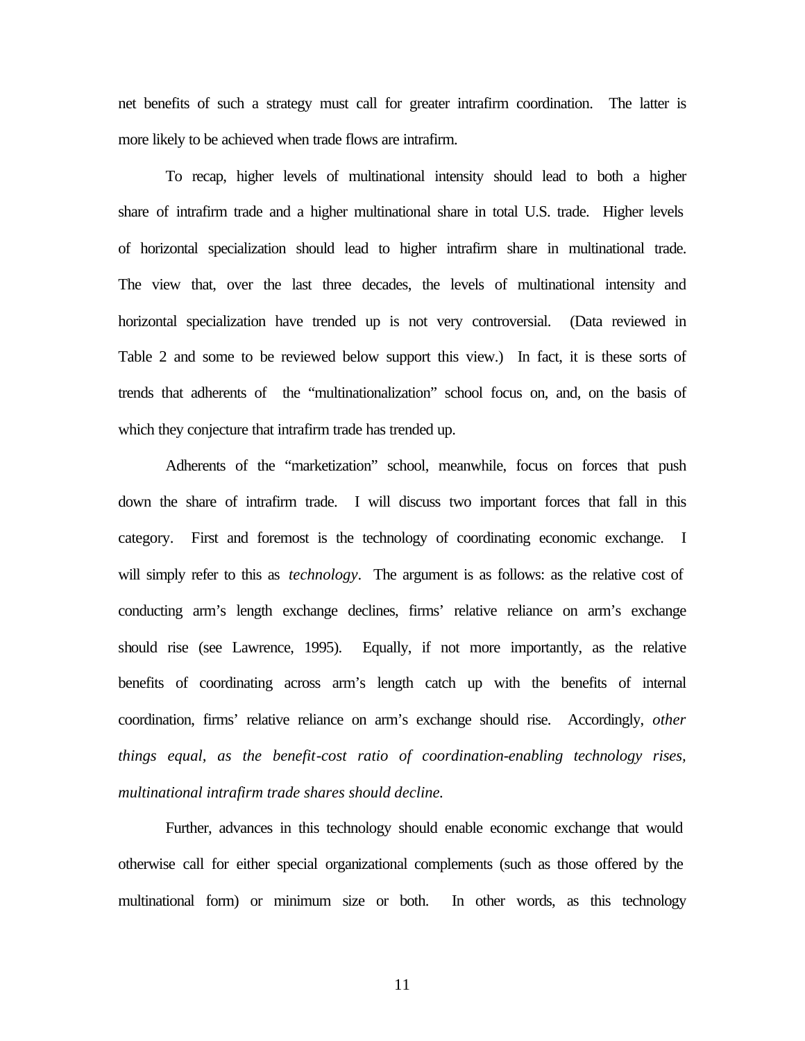net benefits of such a strategy must call for greater intrafirm coordination. The latter is more likely to be achieved when trade flows are intrafirm.

To recap, higher levels of multinational intensity should lead to both a higher share of intrafirm trade and a higher multinational share in total U.S. trade. Higher levels of horizontal specialization should lead to higher intrafirm share in multinational trade. The view that, over the last three decades, the levels of multinational intensity and horizontal specialization have trended up is not very controversial. (Data reviewed in Table 2 and some to be reviewed below support this view.) In fact, it is these sorts of trends that adherents of the "multinationalization" school focus on, and, on the basis of which they conjecture that intrafirm trade has trended up.

Adherents of the "marketization" school, meanwhile, focus on forces that push down the share of intrafirm trade. I will discuss two important forces that fall in this category. First and foremost is the technology of coordinating economic exchange. I will simply refer to this as *technology*. The argument is as follows: as the relative cost of conducting arm's length exchange declines, firms' relative reliance on arm's exchange should rise (see Lawrence, 1995). Equally, if not more importantly, as the relative benefits of coordinating across arm's length catch up with the benefits of internal coordination, firms' relative reliance on arm's exchange should rise. Accordingly, *other things equal, as the benefit-cost ratio of coordination-enabling technology rises, multinational intrafirm trade shares should decline.*

Further, advances in this technology should enable economic exchange that would otherwise call for either special organizational complements (such as those offered by the multinational form) or minimum size or both. In other words, as this technology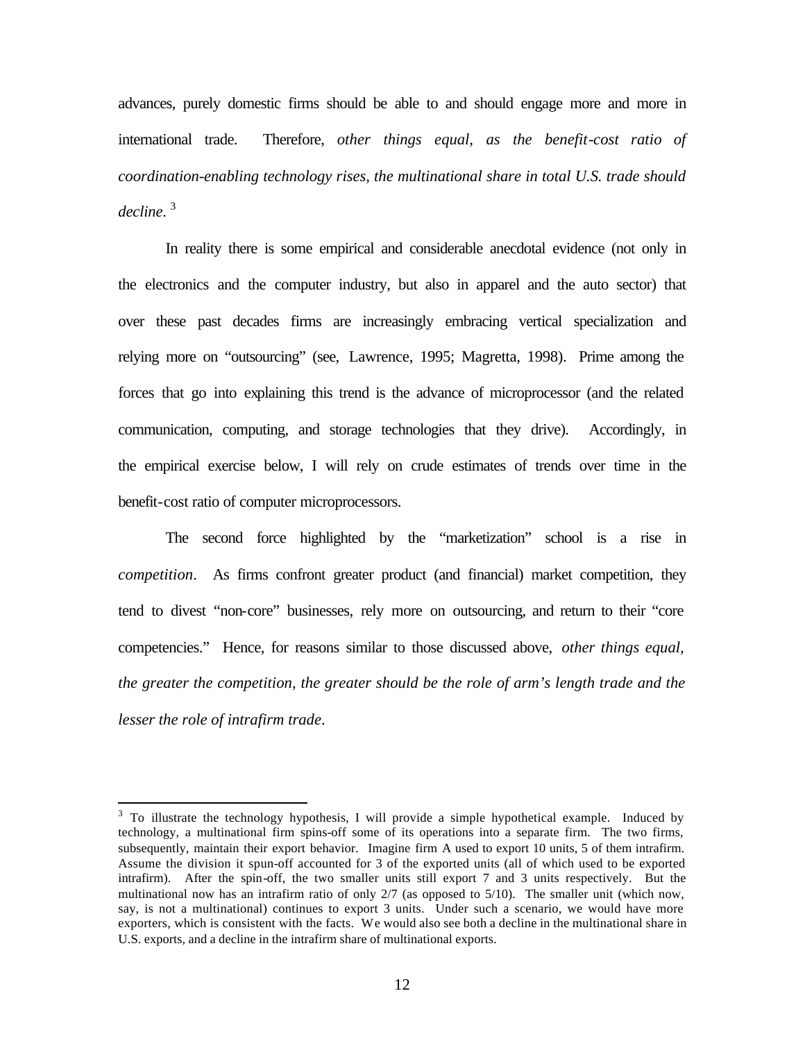advances, purely domestic firms should be able to and should engage more and more in international trade. Therefore, *other things equal, as the benefit-cost ratio of coordination-enabling technology rises, the multinational share in total U.S. trade should decline*. 3

In reality there is some empirical and considerable anecdotal evidence (not only in the electronics and the computer industry, but also in apparel and the auto sector) that over these past decades firms are increasingly embracing vertical specialization and relying more on "outsourcing" (see, Lawrence, 1995; Magretta, 1998). Prime among the forces that go into explaining this trend is the advance of microprocessor (and the related communication, computing, and storage technologies that they drive). Accordingly, in the empirical exercise below, I will rely on crude estimates of trends over time in the benefit-cost ratio of computer microprocessors.

The second force highlighted by the "marketization" school is a rise in *competition*. As firms confront greater product (and financial) market competition, they tend to divest "non-core" businesses, rely more on outsourcing, and return to their "core competencies." Hence, for reasons similar to those discussed above, *other things equal, the greater the competition, the greater should be the role of arm's length trade and the lesser the role of intrafirm trade*.

 $\overline{a}$ 

 $3$  To illustrate the technology hypothesis, I will provide a simple hypothetical example. Induced by technology, a multinational firm spins-off some of its operations into a separate firm. The two firms, subsequently, maintain their export behavior. Imagine firm A used to export 10 units, 5 of them intrafirm. Assume the division it spun-off accounted for 3 of the exported units (all of which used to be exported intrafirm). After the spin-off, the two smaller units still export 7 and 3 units respectively. But the multinational now has an intrafirm ratio of only 2/7 (as opposed to 5/10). The smaller unit (which now, say, is not a multinational) continues to export 3 units. Under such a scenario, we would have more exporters, which is consistent with the facts. We would also see both a decline in the multinational share in U.S. exports, and a decline in the intrafirm share of multinational exports.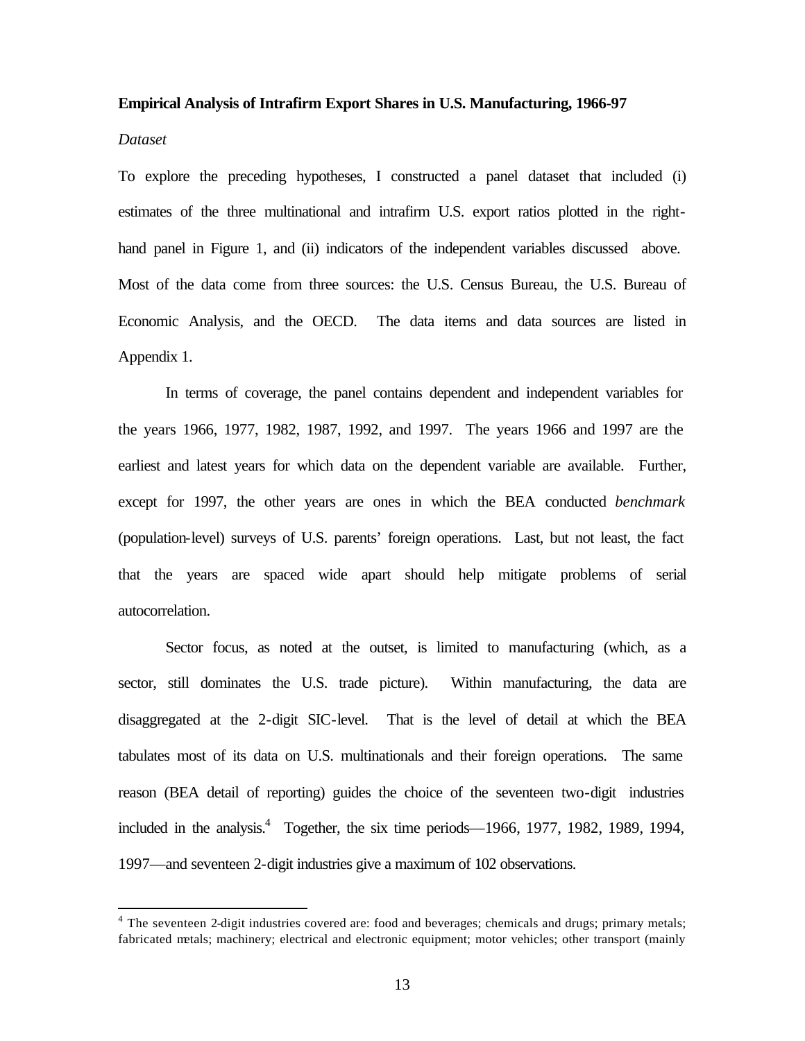#### **Empirical Analysis of Intrafirm Export Shares in U.S. Manufacturing, 1966-97**

#### *Dataset*

 $\overline{a}$ 

To explore the preceding hypotheses, I constructed a panel dataset that included (i) estimates of the three multinational and intrafirm U.S. export ratios plotted in the righthand panel in Figure 1, and (ii) indicators of the independent variables discussed above. Most of the data come from three sources: the U.S. Census Bureau, the U.S. Bureau of Economic Analysis, and the OECD. The data items and data sources are listed in Appendix 1.

In terms of coverage, the panel contains dependent and independent variables for the years 1966, 1977, 1982, 1987, 1992, and 1997. The years 1966 and 1997 are the earliest and latest years for which data on the dependent variable are available. Further, except for 1997, the other years are ones in which the BEA conducted *benchmark* (population-level) surveys of U.S. parents' foreign operations. Last, but not least, the fact that the years are spaced wide apart should help mitigate problems of serial autocorrelation.

Sector focus, as noted at the outset, is limited to manufacturing (which, as a sector, still dominates the U.S. trade picture). Within manufacturing, the data are disaggregated at the 2-digit SIC-level. That is the level of detail at which the BEA tabulates most of its data on U.S. multinationals and their foreign operations. The same reason (BEA detail of reporting) guides the choice of the seventeen two-digit industries included in the analysis.<sup>4</sup> Together, the six time periods—1966, 1977, 1982, 1989, 1994, 1997—and seventeen 2-digit industries give a maximum of 102 observations.

<sup>&</sup>lt;sup>4</sup> The seventeen 2-digit industries covered are: food and beverages; chemicals and drugs; primary metals; fabricated metals; machinery; electrical and electronic equipment; motor vehicles; other transport (mainly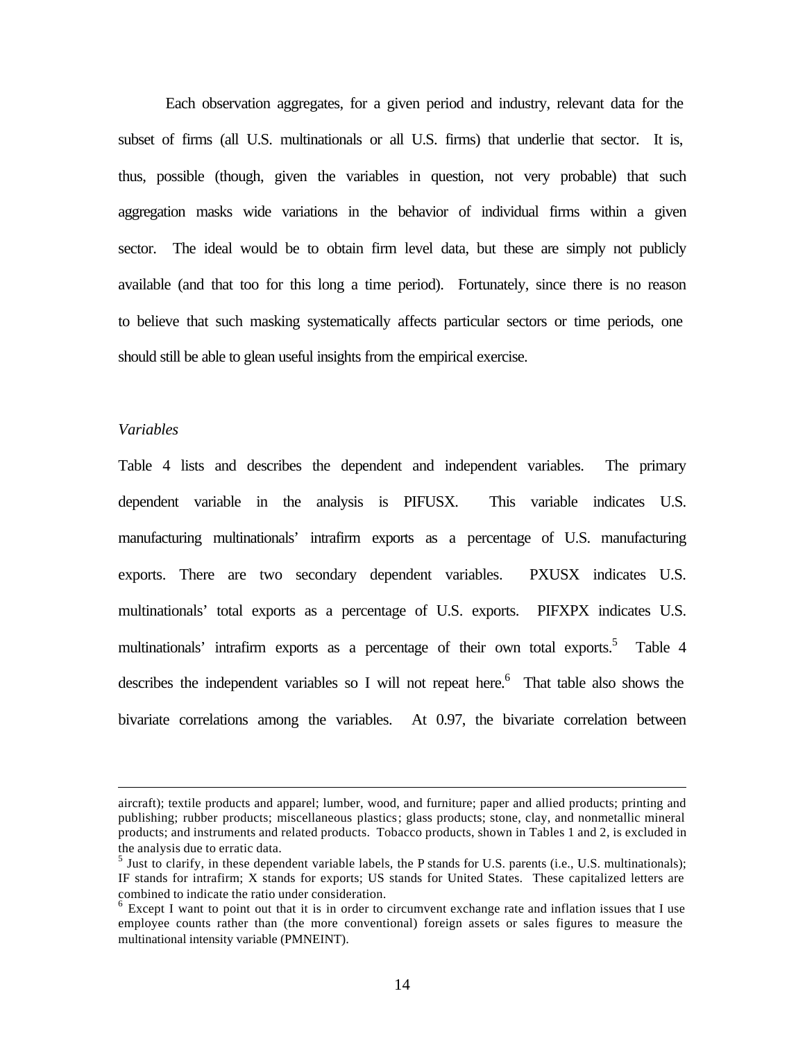Each observation aggregates, for a given period and industry, relevant data for the subset of firms (all U.S. multinationals or all U.S. firms) that underlie that sector. It is, thus, possible (though, given the variables in question, not very probable) that such aggregation masks wide variations in the behavior of individual firms within a given sector. The ideal would be to obtain firm level data, but these are simply not publicly available (and that too for this long a time period). Fortunately, since there is no reason to believe that such masking systematically affects particular sectors or time periods, one should still be able to glean useful insights from the empirical exercise.

#### *Variables*

 $\overline{a}$ 

Table 4 lists and describes the dependent and independent variables. The primary dependent variable in the analysis is PIFUSX. This variable indicates U.S. manufacturing multinationals' intrafirm exports as a percentage of U.S. manufacturing exports. There are two secondary dependent variables. PXUSX indicates U.S. multinationals' total exports as a percentage of U.S. exports. PIFXPX indicates U.S. multinationals' intrafirm exports as a percentage of their own total exports.<sup>5</sup> Table 4 describes the independent variables so I will not repeat here.<sup>6</sup> That table also shows the bivariate correlations among the variables. At 0.97, the bivariate correlation between

aircraft); textile products and apparel; lumber, wood, and furniture; paper and allied products; printing and publishing; rubber products; miscellaneous plastics; glass products; stone, clay, and nonmetallic mineral products; and instruments and related products. Tobacco products, shown in Tables 1 and 2, is excluded in the analysis due to erratic data.

 $<sup>5</sup>$  Just to clarify, in these dependent variable labels, the P stands for U.S. parents (i.e., U.S. multinationals);</sup> IF stands for intrafirm; X stands for exports; US stands for United States. These capitalized letters are combined to indicate the ratio under consideration.

<sup>&</sup>lt;sup>6</sup> Except I want to point out that it is in order to circumvent exchange rate and inflation issues that I use employee counts rather than (the more conventional) foreign assets or sales figures to measure the multinational intensity variable (PMNEINT).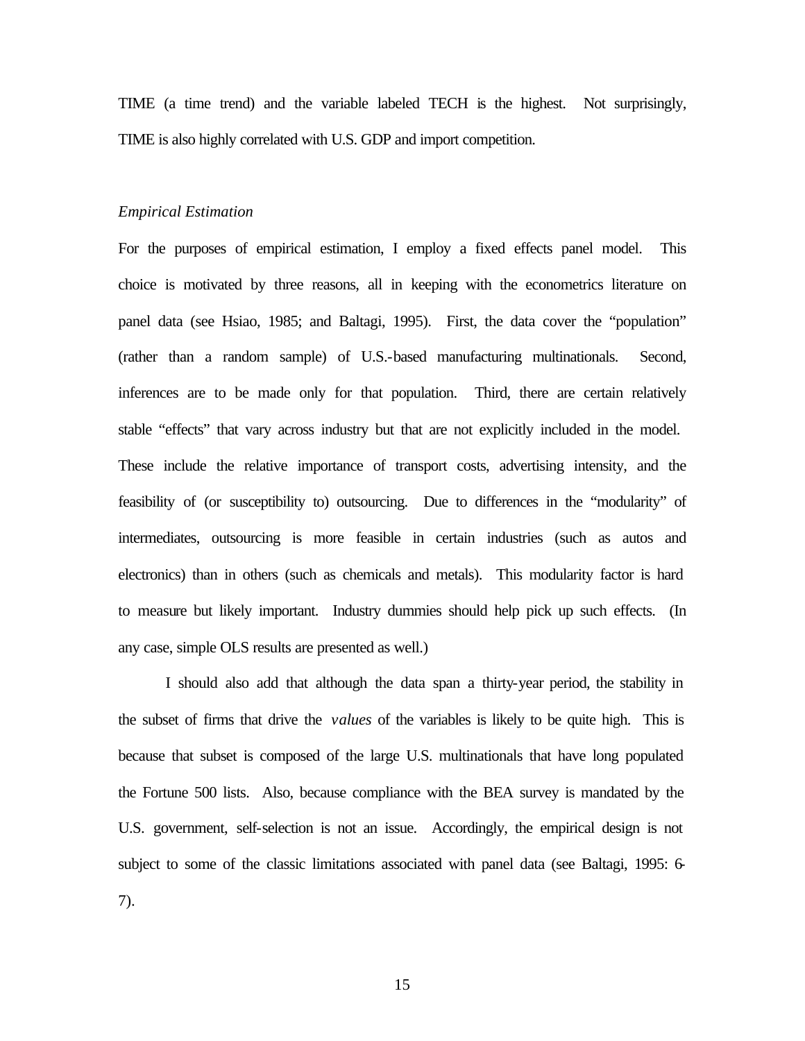TIME (a time trend) and the variable labeled TECH is the highest. Not surprisingly, TIME is also highly correlated with U.S. GDP and import competition.

#### *Empirical Estimation*

For the purposes of empirical estimation, I employ a fixed effects panel model. This choice is motivated by three reasons, all in keeping with the econometrics literature on panel data (see Hsiao, 1985; and Baltagi, 1995). First, the data cover the "population" (rather than a random sample) of U.S.-based manufacturing multinationals. Second, inferences are to be made only for that population. Third, there are certain relatively stable "effects" that vary across industry but that are not explicitly included in the model. These include the relative importance of transport costs, advertising intensity, and the feasibility of (or susceptibility to) outsourcing. Due to differences in the "modularity" of intermediates, outsourcing is more feasible in certain industries (such as autos and electronics) than in others (such as chemicals and metals). This modularity factor is hard to measure but likely important. Industry dummies should help pick up such effects. (In any case, simple OLS results are presented as well.)

I should also add that although the data span a thirty-year period, the stability in the subset of firms that drive the *values* of the variables is likely to be quite high. This is because that subset is composed of the large U.S. multinationals that have long populated the Fortune 500 lists. Also, because compliance with the BEA survey is mandated by the U.S. government, self-selection is not an issue. Accordingly, the empirical design is not subject to some of the classic limitations associated with panel data (see Baltagi, 1995: 6- 7).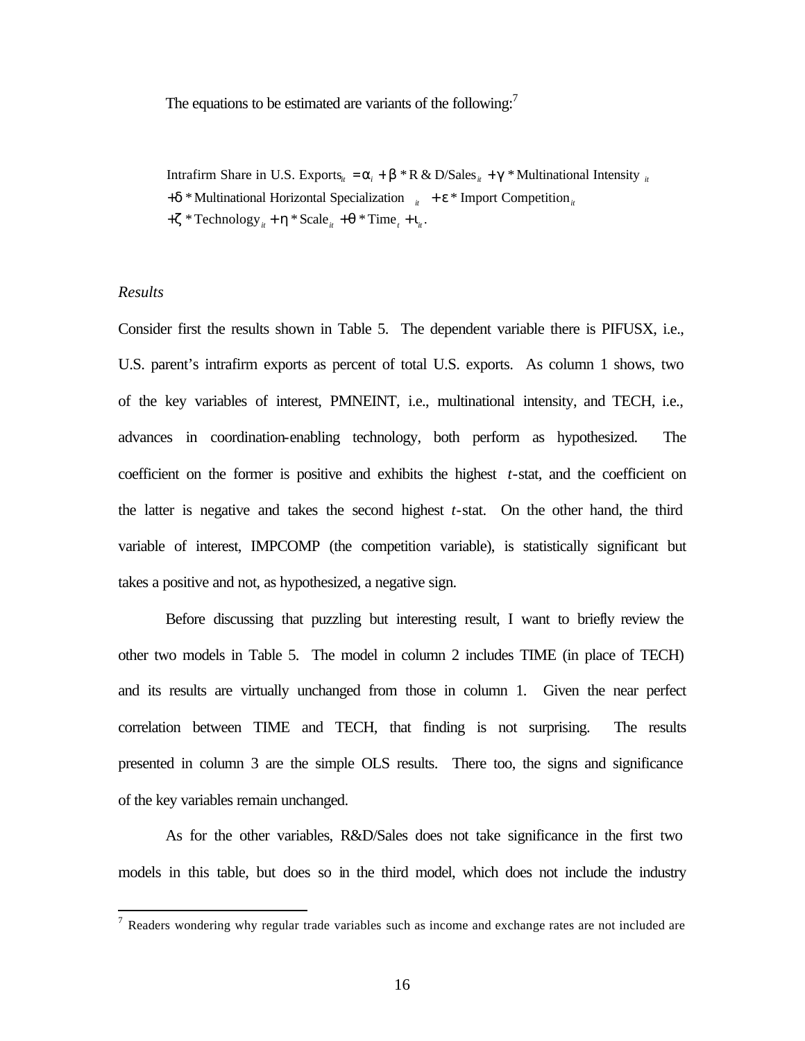The equations to be estimated are variants of the following:<sup>7</sup>

Intrafirm Share in U.S. Exports<sub>*it*</sub> =  $a_i + b * R \& D/Sales_{i} + g * Multinational Intensity_{i}$  $+d^*$  Multinational Horizontal Specialization  $\mu + e^*$  Import Competition<sub>it</sub>  $+z^*$ Technology<sub>*it*</sub></sub> + *h*<sup>\*</sup> Scale<sub>*it*</sub></sub> + *q*<sup>\*</sup> Time<sub>*t*</sub></sub> + *i<sub>t</sub>***.** 

#### *Results*

 $\overline{a}$ 

Consider first the results shown in Table 5. The dependent variable there is PIFUSX, i.e., U.S. parent's intrafirm exports as percent of total U.S. exports. As column 1 shows, two of the key variables of interest, PMNEINT, i.e., multinational intensity, and TECH, i.e., advances in coordination-enabling technology, both perform as hypothesized. The coefficient on the former is positive and exhibits the highest *t*-stat, and the coefficient on the latter is negative and takes the second highest *t*-stat. On the other hand, the third variable of interest, IMPCOMP (the competition variable), is statistically significant but takes a positive and not, as hypothesized, a negative sign.

Before discussing that puzzling but interesting result, I want to briefly review the other two models in Table 5. The model in column 2 includes TIME (in place of TECH) and its results are virtually unchanged from those in column 1. Given the near perfect correlation between TIME and TECH, that finding is not surprising. The results presented in column 3 are the simple OLS results. There too, the signs and significance of the key variables remain unchanged.

As for the other variables, R&D/Sales does not take significance in the first two models in this table, but does so in the third model, which does not include the industry

 $7$  Readers wondering why regular trade variables such as income and exchange rates are not included are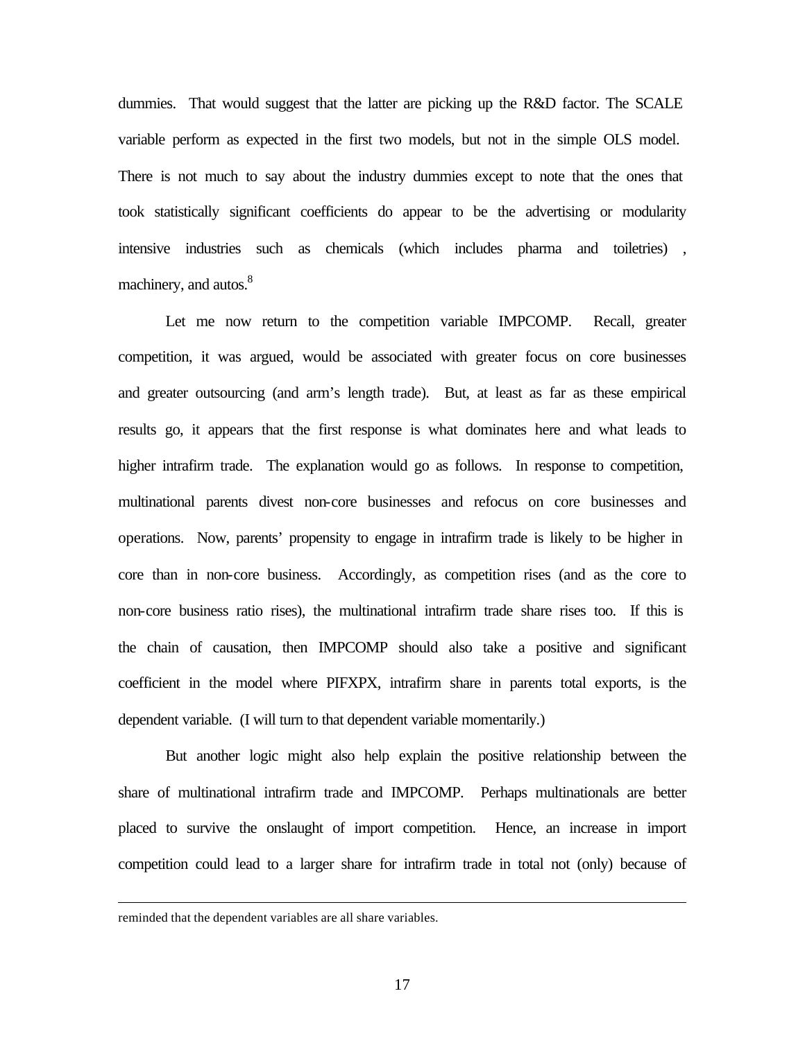dummies. That would suggest that the latter are picking up the R&D factor. The SCALE variable perform as expected in the first two models, but not in the simple OLS model. There is not much to say about the industry dummies except to note that the ones that took statistically significant coefficients do appear to be the advertising or modularity intensive industries such as chemicals (which includes pharma and toiletries) , machinery, and autos.<sup>8</sup>

Let me now return to the competition variable IMPCOMP. Recall, greater competition, it was argued, would be associated with greater focus on core businesses and greater outsourcing (and arm's length trade). But, at least as far as these empirical results go, it appears that the first response is what dominates here and what leads to higher intrafirm trade. The explanation would go as follows. In response to competition, multinational parents divest non-core businesses and refocus on core businesses and operations. Now, parents' propensity to engage in intrafirm trade is likely to be higher in core than in non-core business. Accordingly, as competition rises (and as the core to non-core business ratio rises), the multinational intrafirm trade share rises too. If this is the chain of causation, then IMPCOMP should also take a positive and significant coefficient in the model where PIFXPX, intrafirm share in parents total exports, is the dependent variable. (I will turn to that dependent variable momentarily.)

But another logic might also help explain the positive relationship between the share of multinational intrafirm trade and IMPCOMP. Perhaps multinationals are better placed to survive the onslaught of import competition. Hence, an increase in import competition could lead to a larger share for intrafirm trade in total not (only) because of

 $\overline{a}$ 

reminded that the dependent variables are all share variables.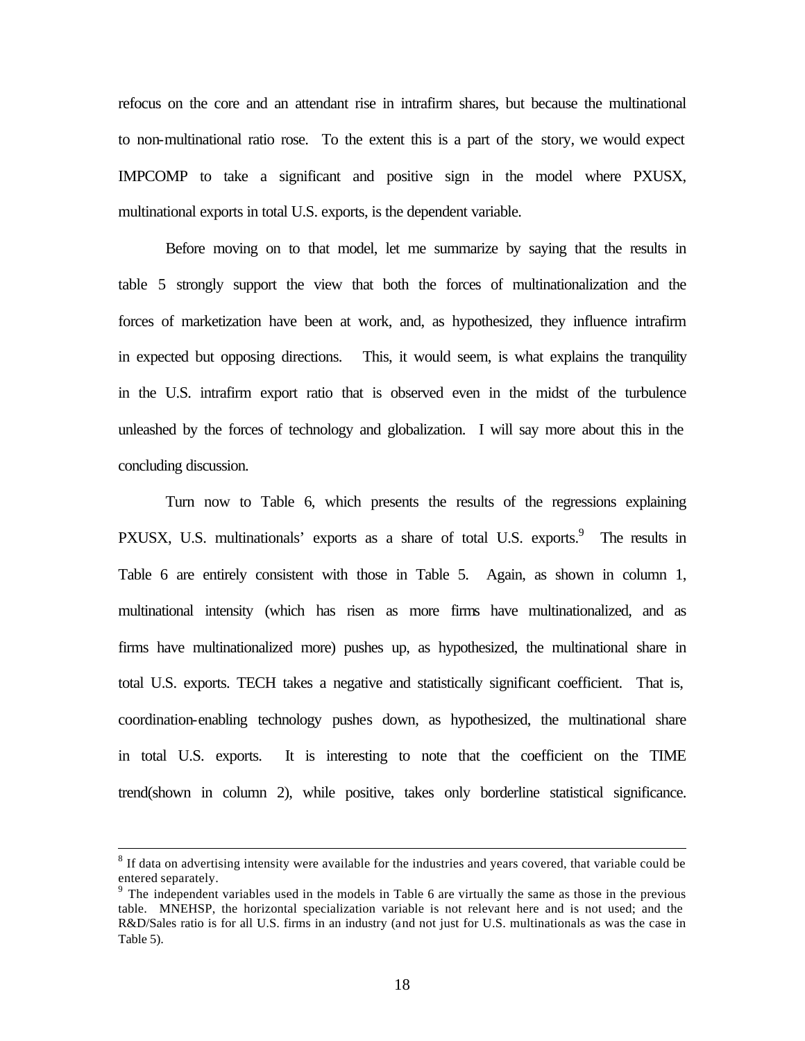refocus on the core and an attendant rise in intrafirm shares, but because the multinational to non-multinational ratio rose. To the extent this is a part of the story, we would expect IMPCOMP to take a significant and positive sign in the model where PXUSX, multinational exports in total U.S. exports, is the dependent variable.

Before moving on to that model, let me summarize by saying that the results in table 5 strongly support the view that both the forces of multinationalization and the forces of marketization have been at work, and, as hypothesized, they influence intrafirm in expected but opposing directions. This, it would seem, is what explains the tranquility in the U.S. intrafirm export ratio that is observed even in the midst of the turbulence unleashed by the forces of technology and globalization. I will say more about this in the concluding discussion.

Turn now to Table 6, which presents the results of the regressions explaining PXUSX, U.S. multinationals' exports as a share of total U.S. exports.<sup>9</sup> The results in Table 6 are entirely consistent with those in Table 5. Again, as shown in column 1, multinational intensity (which has risen as more firms have multinationalized, and as firms have multinationalized more) pushes up, as hypothesized, the multinational share in total U.S. exports. TECH takes a negative and statistically significant coefficient. That is, coordination-enabling technology pushes down, as hypothesized, the multinational share in total U.S. exports. It is interesting to note that the coefficient on the TIME trend(shown in column 2), while positive, takes only borderline statistical significance.

 $\overline{a}$ 

 $8$  If data on advertising intensity were available for the industries and years covered, that variable could be entered separately.

<sup>&</sup>lt;sup>9</sup> The independent variables used in the models in Table 6 are virtually the same as those in the previous table. MNEHSP, the horizontal specialization variable is not relevant here and is not used; and the R&D/Sales ratio is for all U.S. firms in an industry (and not just for U.S. multinationals as was the case in Table 5).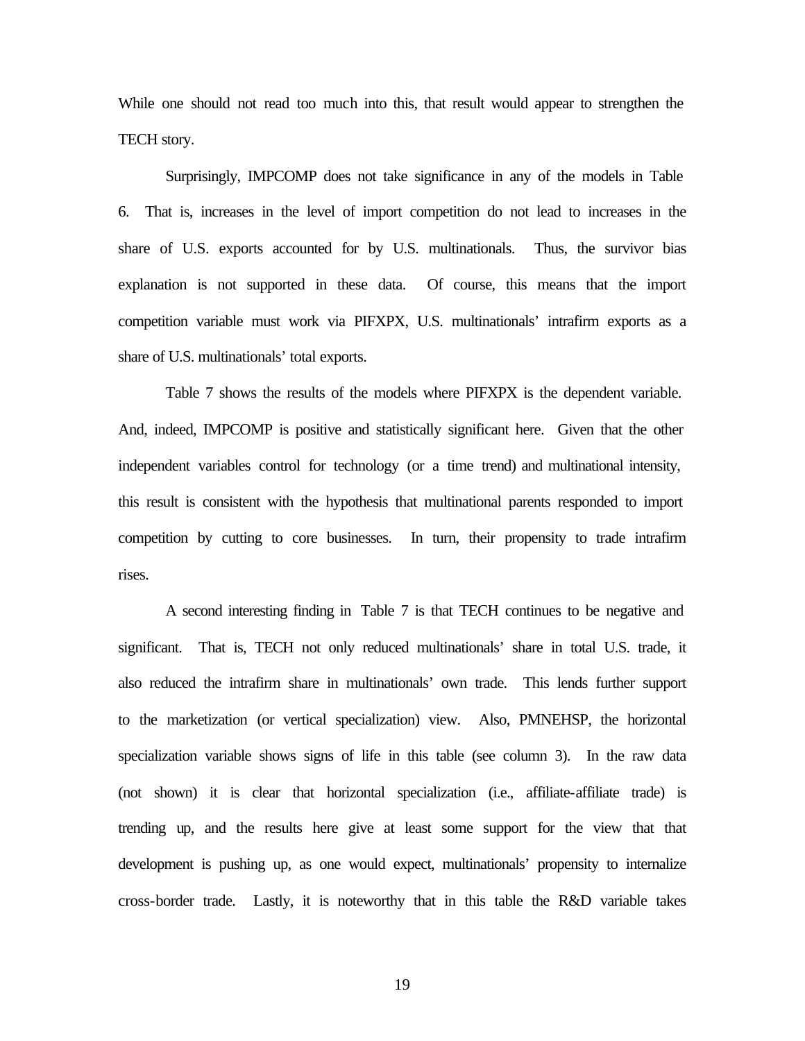While one should not read too much into this, that result would appear to strengthen the TECH story.

Surprisingly, IMPCOMP does not take significance in any of the models in Table 6. That is, increases in the level of import competition do not lead to increases in the share of U.S. exports accounted for by U.S. multinationals. Thus, the survivor bias explanation is not supported in these data. Of course, this means that the import competition variable must work via PIFXPX, U.S. multinationals' intrafirm exports as a share of U.S. multinationals' total exports.

Table 7 shows the results of the models where PIFXPX is the dependent variable. And, indeed, IMPCOMP is positive and statistically significant here. Given that the other independent variables control for technology (or a time trend) and multinational intensity, this result is consistent with the hypothesis that multinational parents responded to import competition by cutting to core businesses. In turn, their propensity to trade intrafirm rises.

A second interesting finding in Table 7 is that TECH continues to be negative and significant. That is, TECH not only reduced multinationals' share in total U.S. trade, it also reduced the intrafirm share in multinationals' own trade. This lends further support to the marketization (or vertical specialization) view. Also, PMNEHSP, the horizontal specialization variable shows signs of life in this table (see column 3). In the raw data (not shown) it is clear that horizontal specialization (i.e., affiliate-affiliate trade) is trending up, and the results here give at least some support for the view that that development is pushing up, as one would expect, multinationals' propensity to internalize cross-border trade. Lastly, it is noteworthy that in this table the R&D variable takes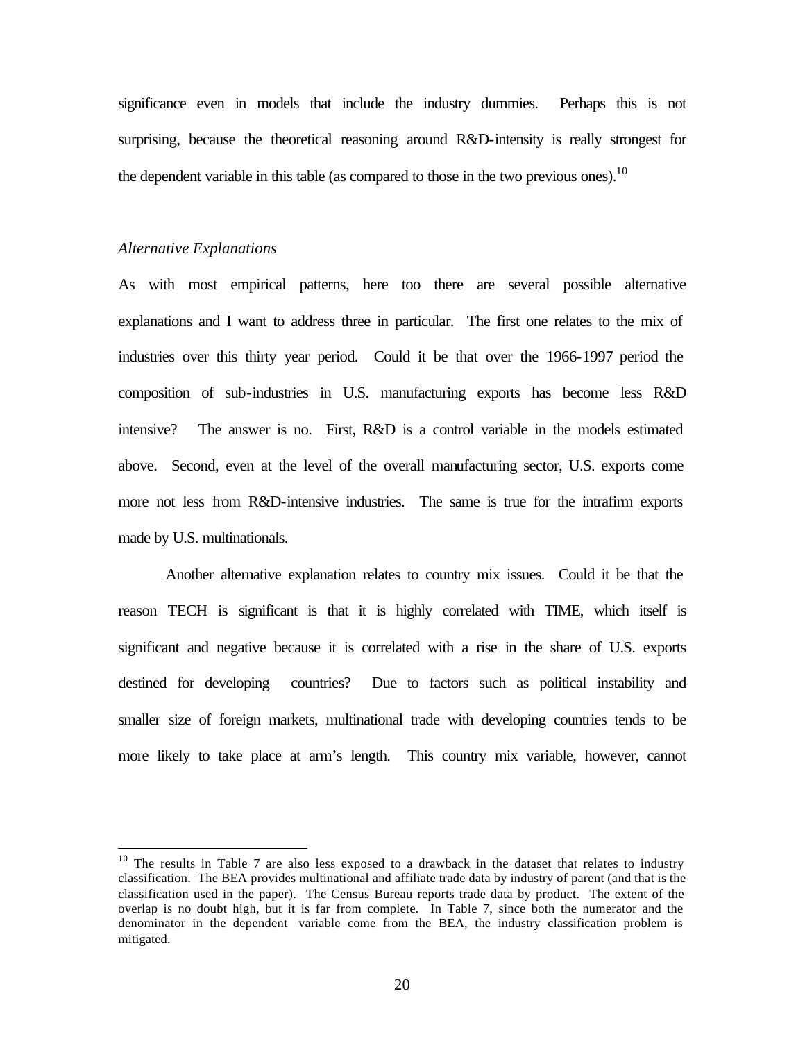significance even in models that include the industry dummies. Perhaps this is not surprising, because the theoretical reasoning around R&D-intensity is really strongest for the dependent variable in this table (as compared to those in the two previous ones).<sup>10</sup>

#### *Alternative Explanations*

 $\overline{a}$ 

As with most empirical patterns, here too there are several possible alternative explanations and I want to address three in particular. The first one relates to the mix of industries over this thirty year period. Could it be that over the 1966-1997 period the composition of sub-industries in U.S. manufacturing exports has become less R&D intensive? The answer is no. First, R&D is a control variable in the models estimated above. Second, even at the level of the overall manufacturing sector, U.S. exports come more not less from R&D-intensive industries. The same is true for the intrafirm exports made by U.S. multinationals.

Another alternative explanation relates to country mix issues. Could it be that the reason TECH is significant is that it is highly correlated with TIME, which itself is significant and negative because it is correlated with a rise in the share of U.S. exports destined for developing countries? Due to factors such as political instability and smaller size of foreign markets, multinational trade with developing countries tends to be more likely to take place at arm's length. This country mix variable, however, cannot

 $10$  The results in Table 7 are also less exposed to a drawback in the dataset that relates to industry classification. The BEA provides multinational and affiliate trade data by industry of parent (and that is the classification used in the paper). The Census Bureau reports trade data by product. The extent of the overlap is no doubt high, but it is far from complete. In Table 7, since both the numerator and the denominator in the dependent variable come from the BEA, the industry classification problem is mitigated.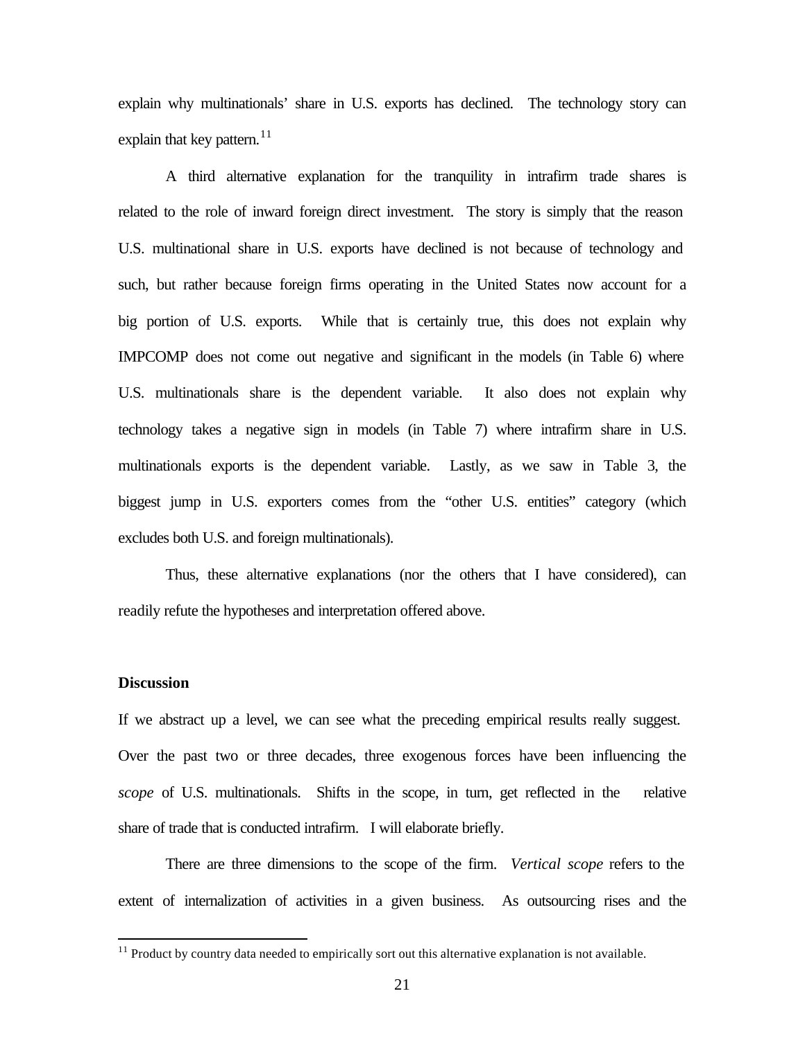explain why multinationals' share in U.S. exports has declined. The technology story can explain that key pattern. $11$ 

A third alternative explanation for the tranquility in intrafirm trade shares is related to the role of inward foreign direct investment. The story is simply that the reason U.S. multinational share in U.S. exports have declined is not because of technology and such, but rather because foreign firms operating in the United States now account for a big portion of U.S. exports. While that is certainly true, this does not explain why IMPCOMP does not come out negative and significant in the models (in Table 6) where U.S. multinationals share is the dependent variable. It also does not explain why technology takes a negative sign in models (in Table 7) where intrafirm share in U.S. multinationals exports is the dependent variable. Lastly, as we saw in Table 3, the biggest jump in U.S. exporters comes from the "other U.S. entities" category (which excludes both U.S. and foreign multinationals).

Thus, these alternative explanations (nor the others that I have considered), can readily refute the hypotheses and interpretation offered above.

#### **Discussion**

 $\overline{a}$ 

If we abstract up a level, we can see what the preceding empirical results really suggest. Over the past two or three decades, three exogenous forces have been influencing the *scope* of U.S. multinationals. Shifts in the scope, in turn, get reflected in the relative share of trade that is conducted intrafirm. I will elaborate briefly.

There are three dimensions to the scope of the firm. *Vertical scope* refers to the extent of internalization of activities in a given business. As outsourcing rises and the

 $11$  Product by country data needed to empirically sort out this alternative explanation is not available.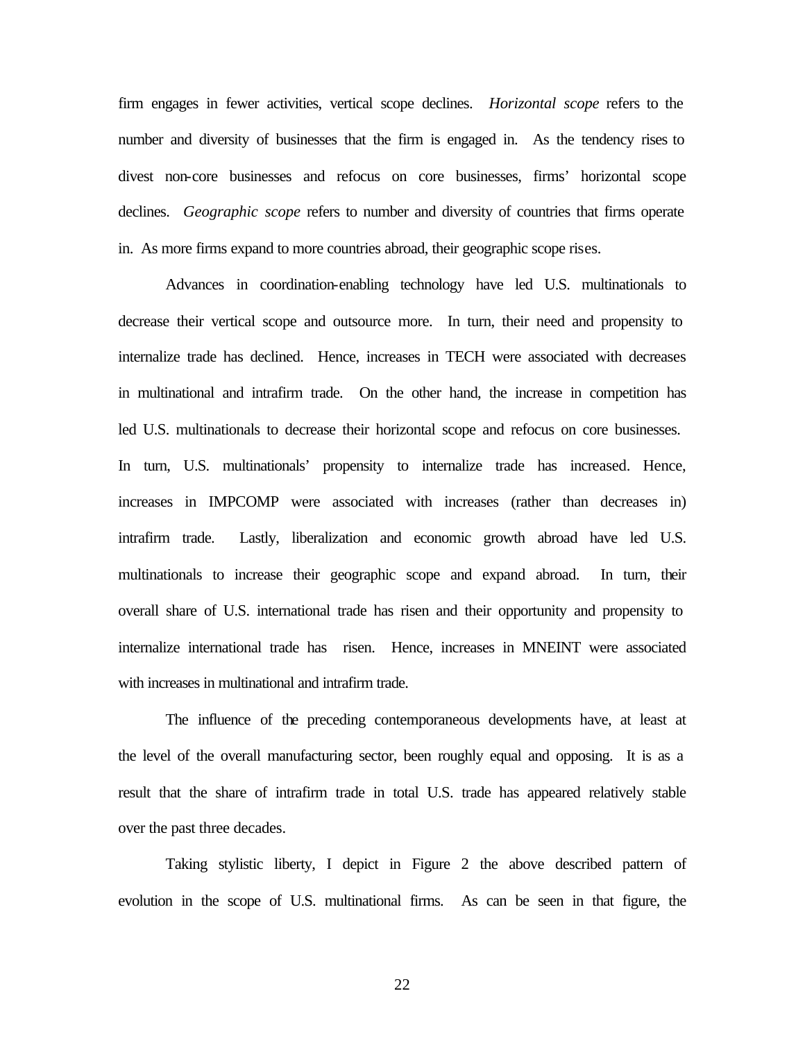firm engages in fewer activities, vertical scope declines. *Horizontal scope* refers to the number and diversity of businesses that the firm is engaged in. As the tendency rises to divest non-core businesses and refocus on core businesses, firms' horizontal scope declines. *Geographic scope* refers to number and diversity of countries that firms operate in. As more firms expand to more countries abroad, their geographic scope rises.

Advances in coordination-enabling technology have led U.S. multinationals to decrease their vertical scope and outsource more. In turn, their need and propensity to internalize trade has declined. Hence, increases in TECH were associated with decreases in multinational and intrafirm trade. On the other hand, the increase in competition has led U.S. multinationals to decrease their horizontal scope and refocus on core businesses. In turn, U.S. multinationals' propensity to internalize trade has increased. Hence, increases in IMPCOMP were associated with increases (rather than decreases in) intrafirm trade. Lastly, liberalization and economic growth abroad have led U.S. multinationals to increase their geographic scope and expand abroad. In turn, their overall share of U.S. international trade has risen and their opportunity and propensity to internalize international trade has risen. Hence, increases in MNEINT were associated with increases in multinational and intrafirm trade.

The influence of the preceding contemporaneous developments have, at least at the level of the overall manufacturing sector, been roughly equal and opposing. It is as a result that the share of intrafirm trade in total U.S. trade has appeared relatively stable over the past three decades.

Taking stylistic liberty, I depict in Figure 2 the above described pattern of evolution in the scope of U.S. multinational firms. As can be seen in that figure, the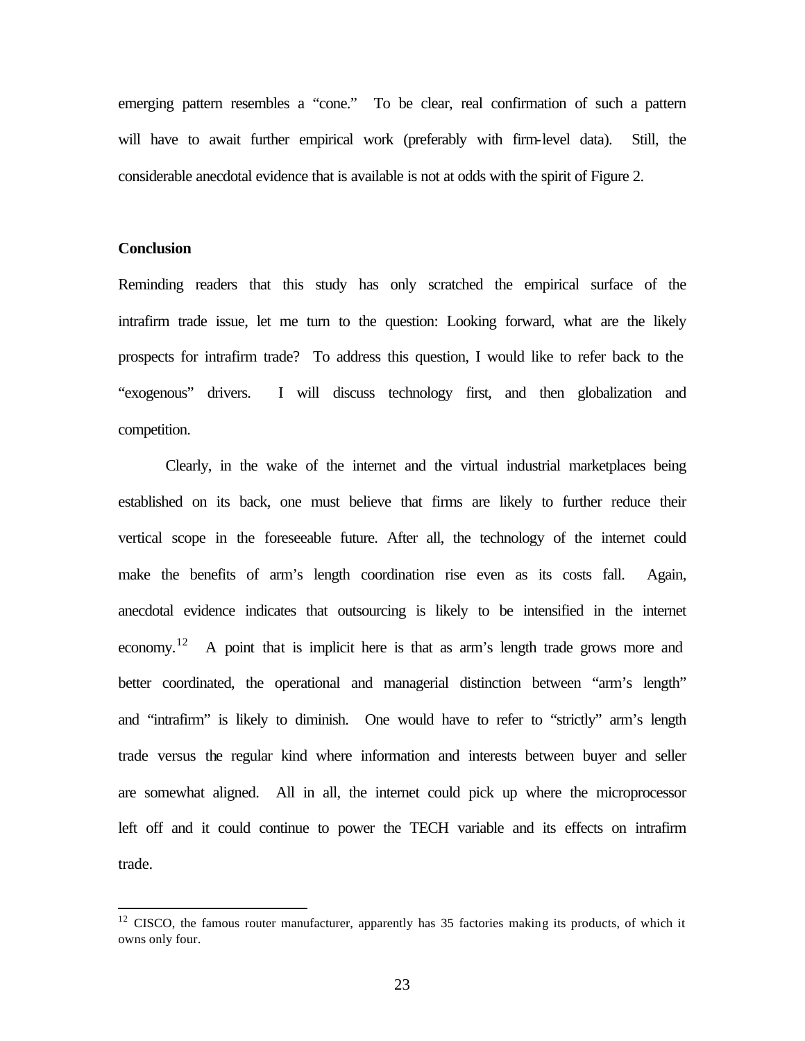emerging pattern resembles a "cone." To be clear, real confirmation of such a pattern will have to await further empirical work (preferably with firm-level data). Still, the considerable anecdotal evidence that is available is not at odds with the spirit of Figure 2.

#### **Conclusion**

 $\overline{a}$ 

Reminding readers that this study has only scratched the empirical surface of the intrafirm trade issue, let me turn to the question: Looking forward, what are the likely prospects for intrafirm trade? To address this question, I would like to refer back to the "exogenous" drivers. I will discuss technology first, and then globalization and competition.

Clearly, in the wake of the internet and the virtual industrial marketplaces being established on its back, one must believe that firms are likely to further reduce their vertical scope in the foreseeable future. After all, the technology of the internet could make the benefits of arm's length coordination rise even as its costs fall. Again, anecdotal evidence indicates that outsourcing is likely to be intensified in the internet economy.<sup>12</sup> A point that is implicit here is that as arm's length trade grows more and better coordinated, the operational and managerial distinction between "arm's length" and "intrafirm" is likely to diminish. One would have to refer to "strictly" arm's length trade versus the regular kind where information and interests between buyer and seller are somewhat aligned. All in all, the internet could pick up where the microprocessor left off and it could continue to power the TECH variable and its effects on intrafirm trade.

 $12$  CISCO, the famous router manufacturer, apparently has 35 factories making its products, of which it owns only four.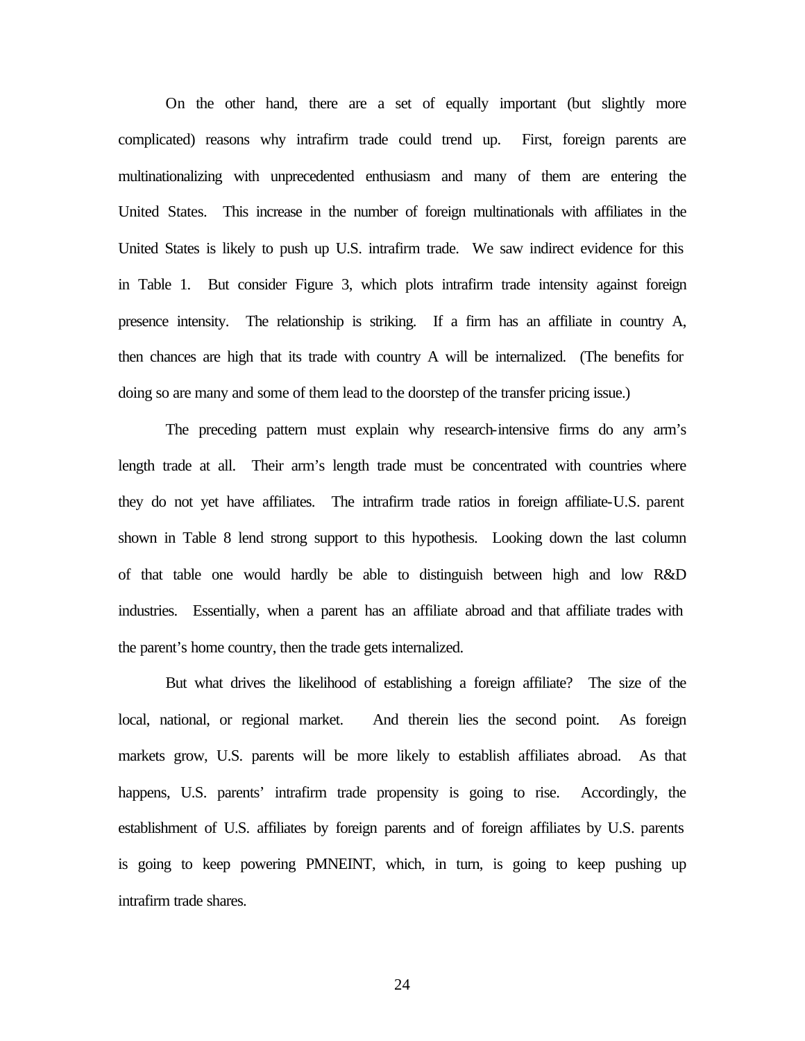On the other hand, there are a set of equally important (but slightly more complicated) reasons why intrafirm trade could trend up. First, foreign parents are multinationalizing with unprecedented enthusiasm and many of them are entering the United States. This increase in the number of foreign multinationals with affiliates in the United States is likely to push up U.S. intrafirm trade. We saw indirect evidence for this in Table 1. But consider Figure 3, which plots intrafirm trade intensity against foreign presence intensity. The relationship is striking. If a firm has an affiliate in country A, then chances are high that its trade with country A will be internalized. (The benefits for doing so are many and some of them lead to the doorstep of the transfer pricing issue.)

The preceding pattern must explain why research-intensive firms do any arm's length trade at all. Their arm's length trade must be concentrated with countries where they do not yet have affiliates. The intrafirm trade ratios in foreign affiliate-U.S. parent shown in Table 8 lend strong support to this hypothesis. Looking down the last column of that table one would hardly be able to distinguish between high and low R&D industries. Essentially, when a parent has an affiliate abroad and that affiliate trades with the parent's home country, then the trade gets internalized.

But what drives the likelihood of establishing a foreign affiliate? The size of the local, national, or regional market. And therein lies the second point. As foreign markets grow, U.S. parents will be more likely to establish affiliates abroad. As that happens, U.S. parents' intrafirm trade propensity is going to rise. Accordingly, the establishment of U.S. affiliates by foreign parents and of foreign affiliates by U.S. parents is going to keep powering PMNEINT, which, in turn, is going to keep pushing up intrafirm trade shares.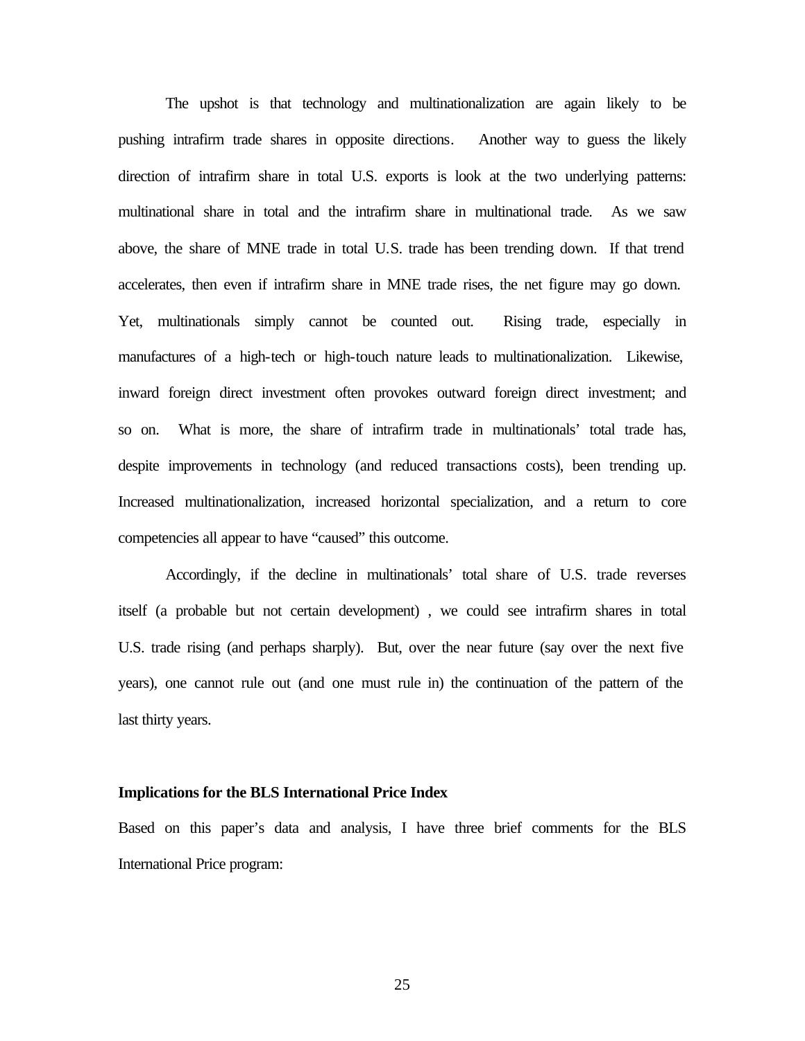The upshot is that technology and multinationalization are again likely to be pushing intrafirm trade shares in opposite directions. Another way to guess the likely direction of intrafirm share in total U.S. exports is look at the two underlying patterns: multinational share in total and the intrafirm share in multinational trade. As we saw above, the share of MNE trade in total U.S. trade has been trending down. If that trend accelerates, then even if intrafirm share in MNE trade rises, the net figure may go down. Yet, multinationals simply cannot be counted out. Rising trade, especially in manufactures of a high-tech or high-touch nature leads to multinationalization. Likewise, inward foreign direct investment often provokes outward foreign direct investment; and so on. What is more, the share of intrafirm trade in multinationals' total trade has, despite improvements in technology (and reduced transactions costs), been trending up. Increased multinationalization, increased horizontal specialization, and a return to core competencies all appear to have "caused" this outcome.

Accordingly, if the decline in multinationals' total share of U.S. trade reverses itself (a probable but not certain development) , we could see intrafirm shares in total U.S. trade rising (and perhaps sharply). But, over the near future (say over the next five years), one cannot rule out (and one must rule in) the continuation of the pattern of the last thirty years.

#### **Implications for the BLS International Price Index**

Based on this paper's data and analysis, I have three brief comments for the BLS International Price program: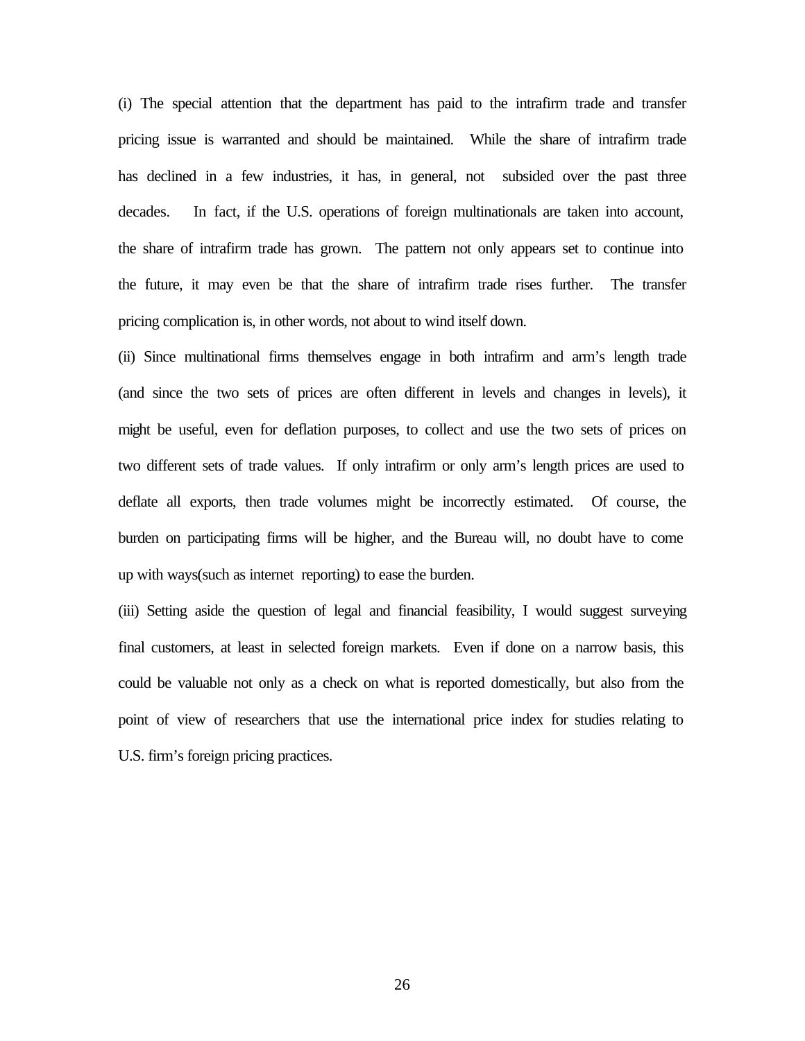(i) The special attention that the department has paid to the intrafirm trade and transfer pricing issue is warranted and should be maintained. While the share of intrafirm trade has declined in a few industries, it has, in general, not subsided over the past three decades. In fact, if the U.S. operations of foreign multinationals are taken into account, the share of intrafirm trade has grown. The pattern not only appears set to continue into the future, it may even be that the share of intrafirm trade rises further. The transfer pricing complication is, in other words, not about to wind itself down.

(ii) Since multinational firms themselves engage in both intrafirm and arm's length trade (and since the two sets of prices are often different in levels and changes in levels), it might be useful, even for deflation purposes, to collect and use the two sets of prices on two different sets of trade values. If only intrafirm or only arm's length prices are used to deflate all exports, then trade volumes might be incorrectly estimated. Of course, the burden on participating firms will be higher, and the Bureau will, no doubt have to come up with ways(such as internet reporting) to ease the burden.

(iii) Setting aside the question of legal and financial feasibility, I would suggest surveying final customers, at least in selected foreign markets. Even if done on a narrow basis, this could be valuable not only as a check on what is reported domestically, but also from the point of view of researchers that use the international price index for studies relating to U.S. firm's foreign pricing practices.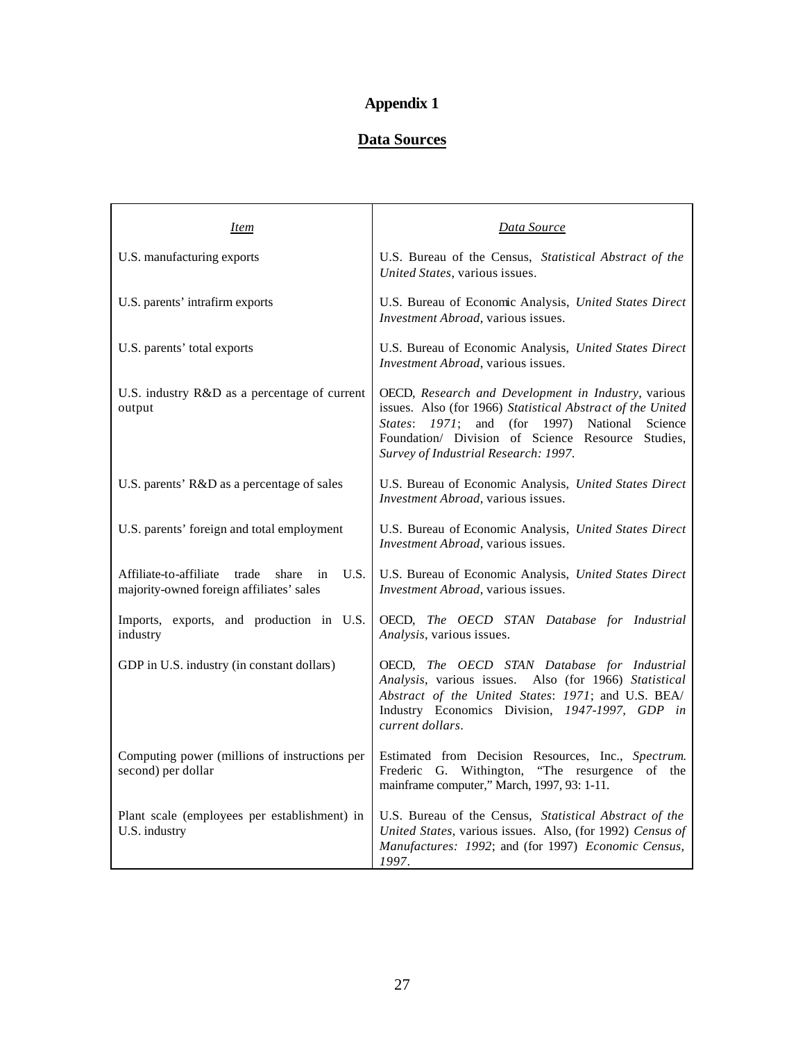# **Appendix 1**

## **Data Sources**

| <i>Item</i>                                                                                     | Data Source                                                                                                                                                                                                                                                               |
|-------------------------------------------------------------------------------------------------|---------------------------------------------------------------------------------------------------------------------------------------------------------------------------------------------------------------------------------------------------------------------------|
| U.S. manufacturing exports                                                                      | U.S. Bureau of the Census, Statistical Abstract of the<br>United States, various issues.                                                                                                                                                                                  |
| U.S. parents' intrafirm exports                                                                 | U.S. Bureau of Economic Analysis, United States Direct<br>Investment Abroad, various issues.                                                                                                                                                                              |
| U.S. parents' total exports                                                                     | U.S. Bureau of Economic Analysis, United States Direct<br><i>Investment Abroad</i> , various issues.                                                                                                                                                                      |
| U.S. industry R&D as a percentage of current<br>output                                          | OECD, Research and Development in Industry, various<br>issues. Also (for 1966) Statistical Abstract of the United<br><i>States:</i> 1971; and (for 1997) National<br>Science<br>Foundation/ Division of Science Resource Studies,<br>Survey of Industrial Research: 1997. |
| U.S. parents' R&D as a percentage of sales                                                      | U.S. Bureau of Economic Analysis, United States Direct<br>Investment Abroad, various issues.                                                                                                                                                                              |
| U.S. parents' foreign and total employment                                                      | U.S. Bureau of Economic Analysis, United States Direct<br>Investment Abroad, various issues.                                                                                                                                                                              |
| Affiliate-to-affiliate trade<br>U.S.<br>share<br>in<br>majority-owned foreign affiliates' sales | U.S. Bureau of Economic Analysis, United States Direct<br>Investment Abroad, various issues.                                                                                                                                                                              |
| Imports, exports, and production in U.S.<br>industry                                            | OECD, The OECD STAN Database for Industrial<br>Analysis, various issues.                                                                                                                                                                                                  |
| GDP in U.S. industry (in constant dollars)                                                      | OECD, The OECD STAN Database for Industrial<br>Analysis, various issues. Also (for 1966) Statistical<br>Abstract of the United States: 1971; and U.S. BEA/<br>Industry Economics Division, 1947-1997, GDP in<br>current dollars.                                          |
| Computing power (millions of instructions per<br>second) per dollar                             | Estimated from Decision Resources, Inc., Spectrum.<br>Frederic G. Withington, "The resurgence of the<br>mainframe computer," March, 1997, 93: 1-11.                                                                                                                       |
| Plant scale (employees per establishment) in<br>U.S. industry                                   | U.S. Bureau of the Census, Statistical Abstract of the<br>United States, various issues. Also, (for 1992) Census of<br>Manufactures: 1992; and (for 1997) Economic Census,<br>1997.                                                                                       |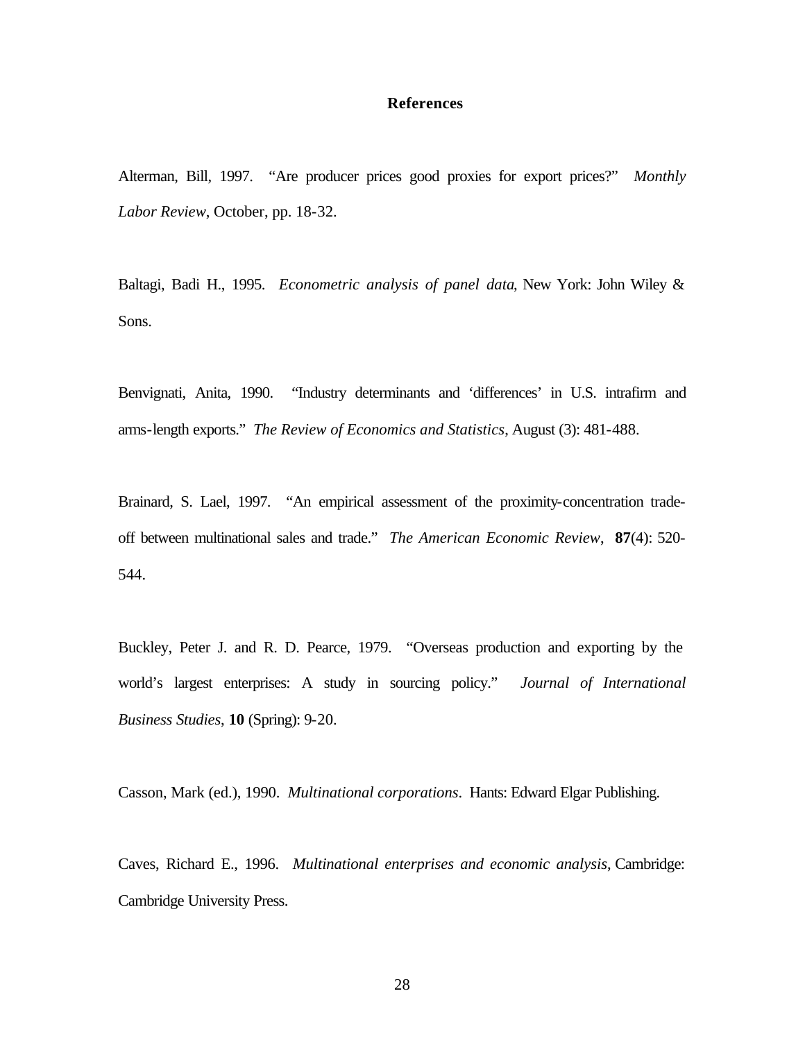#### **References**

Alterman, Bill, 1997. "Are producer prices good proxies for export prices?" *Monthly Labor Review*, October, pp. 18-32.

Baltagi, Badi H., 1995. *Econometric analysis of panel data*, New York: John Wiley & Sons.

Benvignati, Anita, 1990. "Industry determinants and 'differences' in U.S. intrafirm and arms-length exports." *The Review of Economics and Statistics*, August (3): 481-488.

Brainard, S. Lael, 1997. "An empirical assessment of the proximity-concentration tradeoff between multinational sales and trade." *The American Economic Review*, **87**(4): 520- 544.

Buckley, Peter J. and R. D. Pearce, 1979. "Overseas production and exporting by the world's largest enterprises: A study in sourcing policy." *Journal of International Business Studies*, **10** (Spring): 9-20.

Casson, Mark (ed.), 1990. *Multinational corporations*. Hants: Edward Elgar Publishing.

Caves, Richard E., 1996. *Multinational enterprises and economic analysis*, Cambridge: Cambridge University Press.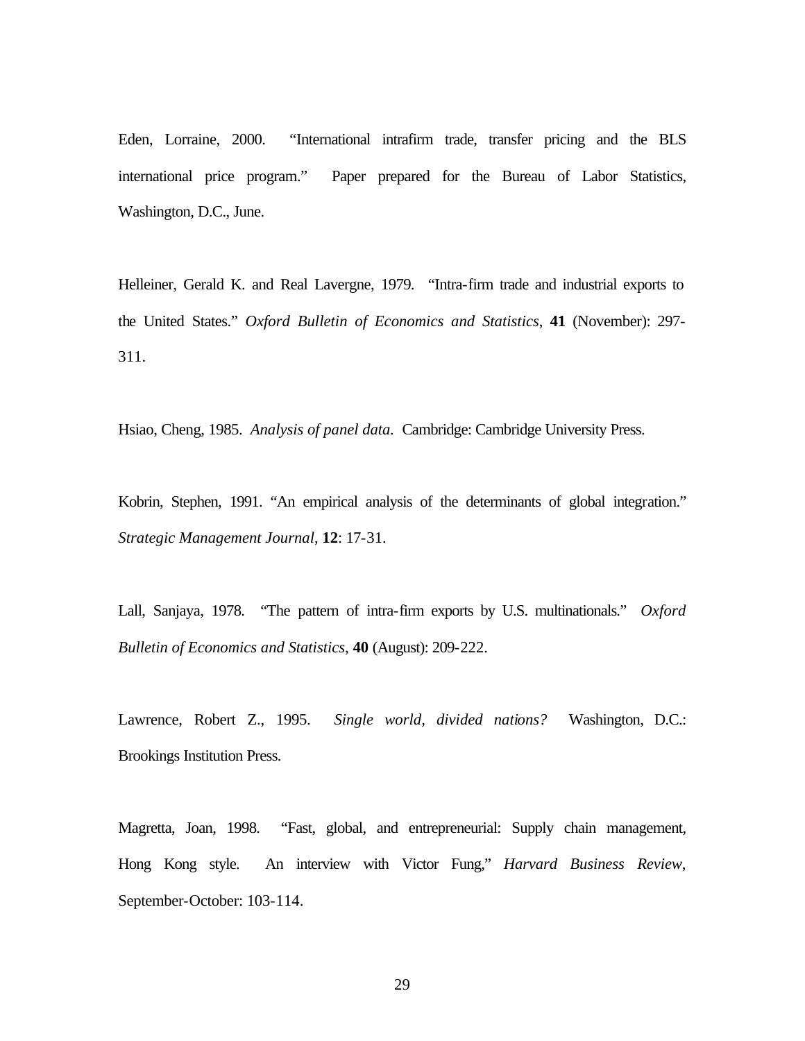Eden, Lorraine, 2000. "International intrafirm trade, transfer pricing and the BLS international price program." Paper prepared for the Bureau of Labor Statistics, Washington, D.C., June.

Helleiner, Gerald K. and Real Lavergne, 1979. "Intra-firm trade and industrial exports to the United States." *Oxford Bulletin of Economics and Statistics*, **41** (November): 297- 311.

Hsiao, Cheng, 1985. *Analysis of panel data.* Cambridge: Cambridge University Press.

Kobrin, Stephen, 1991. "An empirical analysis of the determinants of global integration." *Strategic Management Journal*, **12**: 17-31.

Lall, Sanjaya, 1978. "The pattern of intra-firm exports by U.S. multinationals." *Oxford Bulletin of Economics and Statistics*, **40** (August): 209-222.

Lawrence, Robert Z., 1995. *Single world, divided nations?* Washington, D.C.: Brookings Institution Press.

Magretta, Joan, 1998. "Fast, global, and entrepreneurial: Supply chain management, Hong Kong style. An interview with Victor Fung," *Harvard Business Review*, September-October: 103-114.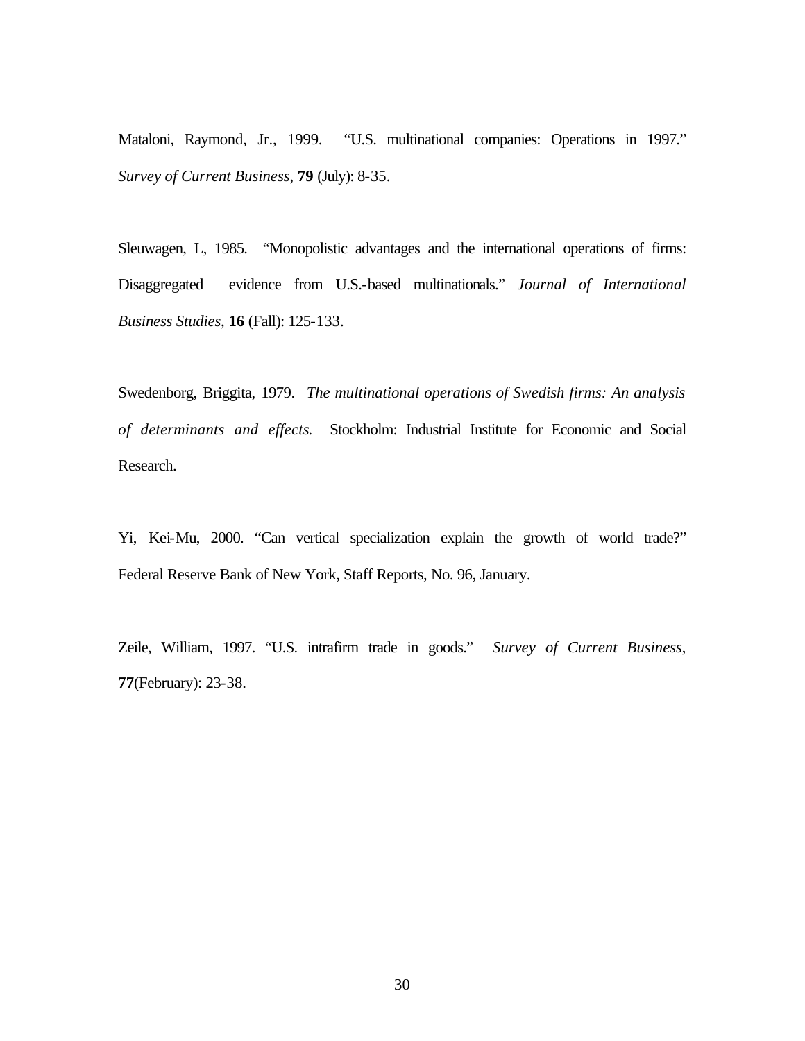Mataloni, Raymond, Jr., 1999. "U.S. multinational companies: Operations in 1997." *Survey of Current Business*, **79** (July): 8-35.

Sleuwagen, L, 1985. "Monopolistic advantages and the international operations of firms: Disaggregated evidence from U.S.-based multinationals." *Journal of International Business Studies*, **16** (Fall): 125-133.

Swedenborg, Briggita, 1979. *The multinational operations of Swedish firms: An analysis of determinants and effects*. Stockholm: Industrial Institute for Economic and Social Research.

Yi, Kei-Mu, 2000. "Can vertical specialization explain the growth of world trade?" Federal Reserve Bank of New York, Staff Reports, No. 96, January.

Zeile, William, 1997. "U.S. intrafirm trade in goods." *Survey of Current Business*, **77**(February): 23-38.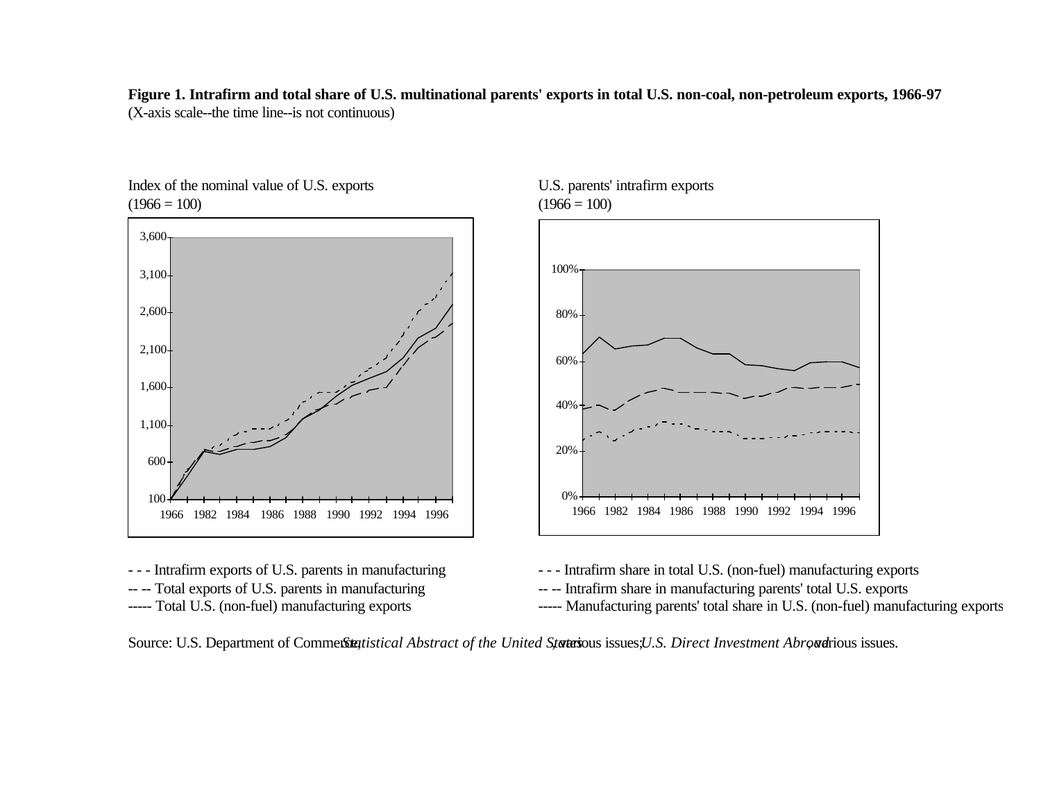**Figure 1. Intrafirm and total share of U.S. multinational parents' exports in total U.S. non-coal, non-petroleum exports, 1966-97** (X-axis scale--the time line--is not continuous)



-- -- Total exports of U.S. parents in manufacturing --- Intrafirm share in manufacturing parents' total U.S. exports





- - Intrafirm exports of U.S. parents in manufacturing --- Intrafirm share in total U.S. (non-fuel) manufacturing exports

----- Total U.S. (non-fuel) manufacturing exports ----- Manufacturing parents' total share in U.S. (non-fuel) manufacturing exports

Source: U.S. Department of Commerstatistical Abstract of the United Statesious issues; *U.S. Direct Investment Abroad* rious issues.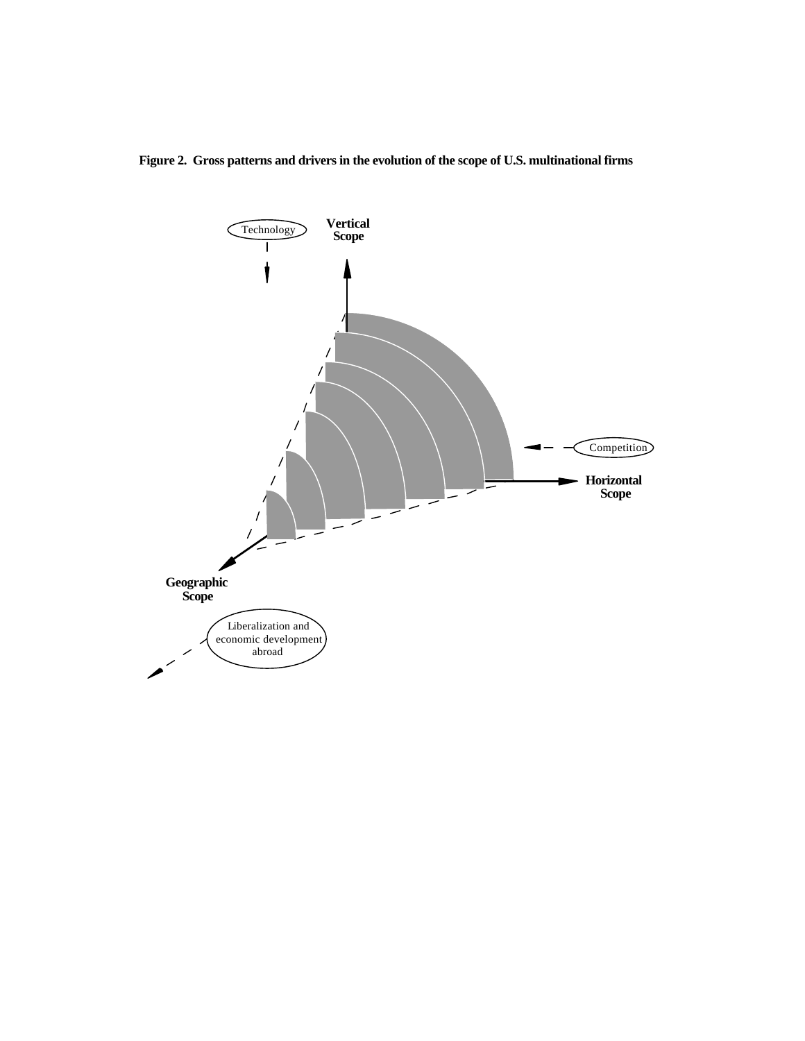#### **Figure 2. Gross patterns and drivers in the evolution of the scope of U.S. multinational firms**

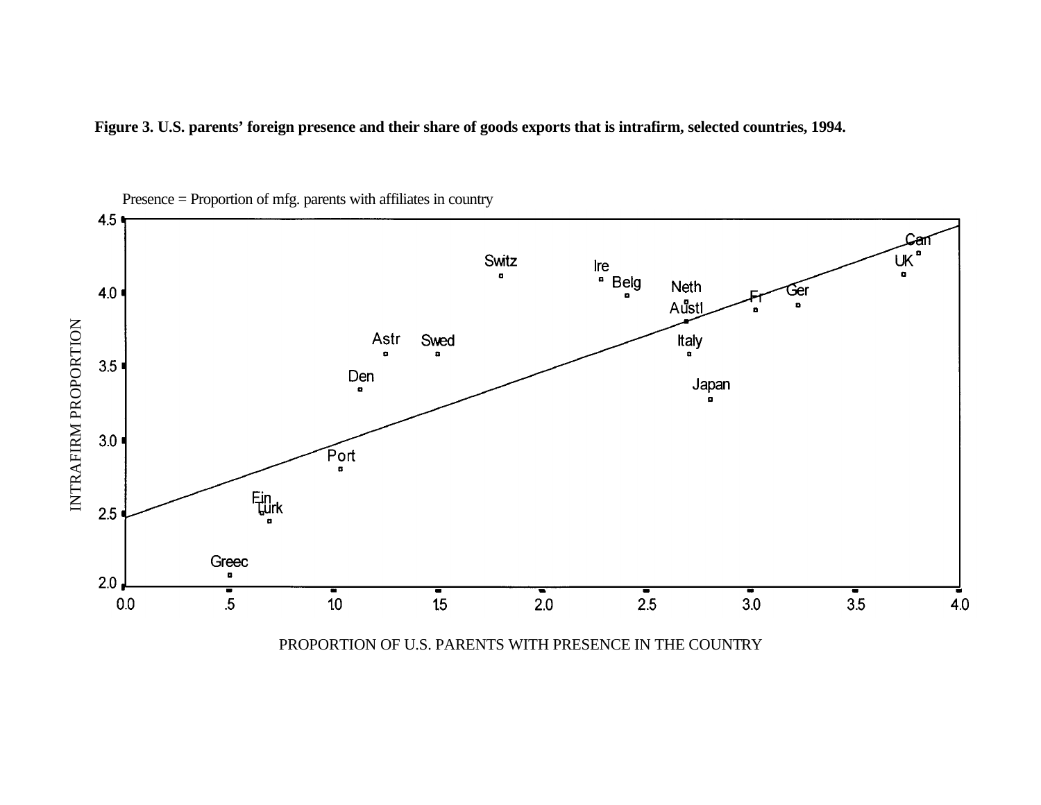



Presence = Proportion of mfg. parents with affiliates in country

PROPORTION OF U.S. PARENTS WITH PRESENCE IN THE COUNTRY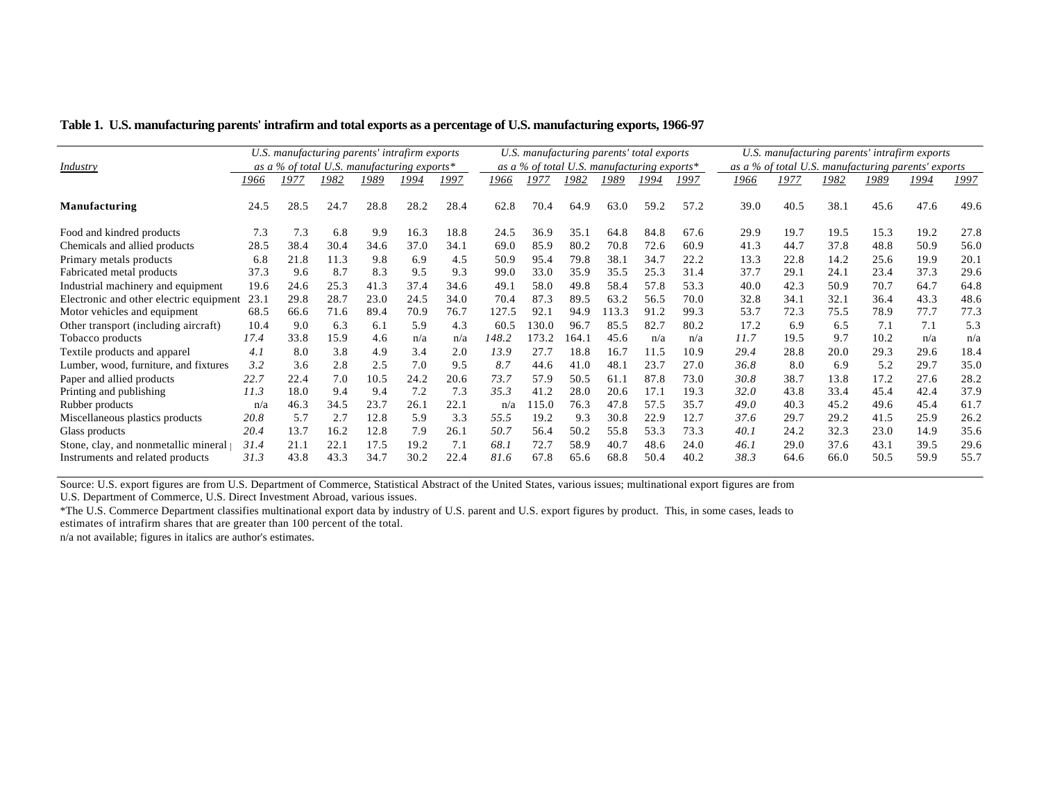|                                         |                                             |      |      | U.S. manufacturing parents' intrafirm exports<br>U.S. manufacturing parents' total exports |      |                                             |       |       |       |      | U.S. manufacturing parents' intrafirm exports |                                                     |      |      |      |      |      |      |
|-----------------------------------------|---------------------------------------------|------|------|--------------------------------------------------------------------------------------------|------|---------------------------------------------|-------|-------|-------|------|-----------------------------------------------|-----------------------------------------------------|------|------|------|------|------|------|
| Industry                                | as a % of total U.S. manufacturing exports* |      |      |                                                                                            |      | as a % of total U.S. manufacturing exports* |       |       |       |      |                                               | as a % of total U.S. manufacturing parents' exports |      |      |      |      |      |      |
|                                         | 1966                                        | 1977 | 1982 | 1989                                                                                       | 1994 | 1997                                        | 1966  | 1977  | 1982  | 1989 | 1994                                          | 1997                                                | 1966 | 1977 | 1982 | 1989 | 1994 | 1997 |
| <b>Manufacturing</b>                    | 24.5                                        | 28.5 | 24.7 | 28.8                                                                                       | 28.2 | 28.4                                        | 62.8  | 70.4  | 64.9  | 63.0 | 59.2                                          | 57.2                                                | 39.0 | 40.5 | 38.1 | 45.6 | 47.6 | 49.6 |
| Food and kindred products               | 7.3                                         | 7.3  | 6.8  | 9.9                                                                                        | 16.3 | 18.8                                        | 24.5  | 36.9  | 35.   | 64.8 | 84.8                                          | 67.6                                                | 29.9 | 19.7 | 19.5 | 15.3 | 19.2 | 27.8 |
| Chemicals and allied products           | 28.5                                        | 38.4 | 30.4 | 34.6                                                                                       | 37.0 | 34.1                                        | 69.0  | 85.9  | 80.2  | 70.8 | 72.6                                          | 60.9                                                | 41.3 | 44.7 | 37.8 | 48.8 | 50.9 | 56.0 |
| Primary metals products                 | 6.8                                         | 21.8 | 11.3 | 9.8                                                                                        | 6.9  | 4.5                                         | 50.9  | 95.4  | 79.8  | 38.1 | 34.7                                          | 22.2                                                | 13.3 | 22.8 | 14.2 | 25.6 | 19.9 | 20.1 |
| Fabricated metal products               | 37.3                                        | 9.6  | 8.7  | 8.3                                                                                        | 9.5  | 9.3                                         | 99.0  | 33.0  | 35.9  | 35.5 | 25.3                                          | 31.4                                                | 37.7 | 29.1 | 24.1 | 23.4 | 37.3 | 29.6 |
| Industrial machinery and equipment      | 19.6                                        | 24.6 | 25.3 | 41.3                                                                                       | 37.4 | 34.6                                        | 49.1  | 58.0  | 49.8  | 58.4 | 57.8                                          | 53.3                                                | 40.0 | 42.3 | 50.9 | 70.7 | 64.7 | 64.8 |
| Electronic and other electric equipment | 23.1                                        | 29.8 | 28.7 | 23.0                                                                                       | 24.5 | 34.0                                        | 70.4  | 87.3  | 89.5  | 63.2 | 56.5                                          | 70.0                                                | 32.8 | 34.1 | 32.1 | 36.4 | 43.3 | 48.6 |
| Motor vehicles and equipment            | 68.5                                        | 66.6 | 71.6 | 89.4                                                                                       | 70.9 | 76.7                                        | 127.5 | 92.   | 94.9  | 13.3 | 91.2                                          | 99.3                                                | 53.7 | 72.3 | 75.5 | 78.9 | 77.7 | 77.3 |
| Other transport (including aircraft)    | 10.4                                        | 9.0  | 6.3  | 6.1                                                                                        | 5.9  | 4.3                                         | 60.5  | 130.0 | 96.7  | 85.5 | 82.7                                          | 80.2                                                | 17.2 | 6.9  | 6.5  | 7.1  | 7.1  | 5.3  |
| Tobacco products                        | 17.4                                        | 33.8 | 15.9 | 4.6                                                                                        | n/a  | n/a                                         | 148.2 | 173.2 | 164.1 | 45.6 | n/a                                           | n/a                                                 | 11.7 | 19.5 | 9.7  | 10.2 | n/a  | n/a  |
| Textile products and apparel            | 4.1                                         | 8.0  | 3.8  | 4.9                                                                                        | 3.4  | 2.0                                         | 13.9  | 27.7  | 18.8  | 16.7 | 11.5                                          | 10.9                                                | 29.4 | 28.8 | 20.0 | 29.3 | 29.6 | 18.4 |
| Lumber, wood, furniture, and fixtures   | 3.2                                         | 3.6  | 2.8  | 2.5                                                                                        | 7.0  | 9.5                                         | 8.7   | 44.6  | 41.0  | 48.1 | 23.7                                          | 27.0                                                | 36.8 | 8.0  | 6.9  | 5.2  | 29.7 | 35.0 |
| Paper and allied products               | 22.7                                        | 22.4 | 7.0  | 10.5                                                                                       | 24.2 | 20.6                                        | 73.7  | 57.9  | 50.5  | 61.1 | 87.8                                          | 73.0                                                | 30.8 | 38.7 | 13.8 | 17.2 | 27.6 | 28.2 |
| Printing and publishing                 | 11.3                                        | 18.0 | 9.4  | 9.4                                                                                        | 7.2  | 7.3                                         | 35.3  | 41.2  | 28.0  | 20.6 | 17.1                                          | 19.3                                                | 32.0 | 43.8 | 33.4 | 45.4 | 42.4 | 37.9 |
| Rubber products                         | n/a                                         | 46.3 | 34.5 | 23.7                                                                                       | 26.1 | 22.1                                        | n/a   | 15.0  | 76.3  | 47.8 | 57.5                                          | 35.7                                                | 49.0 | 40.3 | 45.2 | 49.6 | 45.4 | 61.7 |
| Miscellaneous plastics products         | 20.8                                        | 5.7  | 2.7  | 12.8                                                                                       | 5.9  | 3.3                                         | 55.5  | 19.2  | 9.3   | 30.8 | 22.9                                          | 12.7                                                | 37.6 | 29.7 | 29.2 | 41.5 | 25.9 | 26.2 |
| Glass products                          | 20.4                                        | 13.7 | 16.2 | 12.8                                                                                       | 7.9  | 26.1                                        | 50.7  | 56.4  | 50.2  | 55.8 | 53.3                                          | 73.3                                                | 40.1 | 24.2 | 32.3 | 23.0 | 14.9 | 35.6 |
| Stone, clay, and nonmetallic mineral    | 31.4                                        | 21.1 | 22.1 | 17.5                                                                                       | 19.2 | 7.1                                         | 68.1  | 72.7  | 58.9  | 40.7 | 48.6                                          | 24.0                                                | 46.1 | 29.0 | 37.6 | 43.1 | 39.5 | 29.6 |
| Instruments and related products        | 31.3                                        | 43.8 | 43.3 | 34.7                                                                                       | 30.2 | 22.4                                        | 81.6  | 67.8  | 65.6  | 68.8 | 50.4                                          | 40.2                                                | 38.3 | 64.6 | 66.0 | 50.5 | 59.9 | 55.7 |

**Table 1. U.S. manufacturing parents' intrafirm and total exports as a percentage of U.S. manufacturing exports, 1966-97**

Source: U.S. export figures are from U.S. Department of Commerce, Statistical Abstract of the United States, various issues; multinational export figures are from U.S. Department of Commerce, U.S. Direct Investment Abroad, various issues.

\*The U.S. Commerce Department classifies multinational export data by industry of U.S. parent and U.S. export figures by product. This, in some cases, leads to estimates of intrafirm shares that are greater than 100 percent of the total.

n/a not available; figures in italics are author's estimates.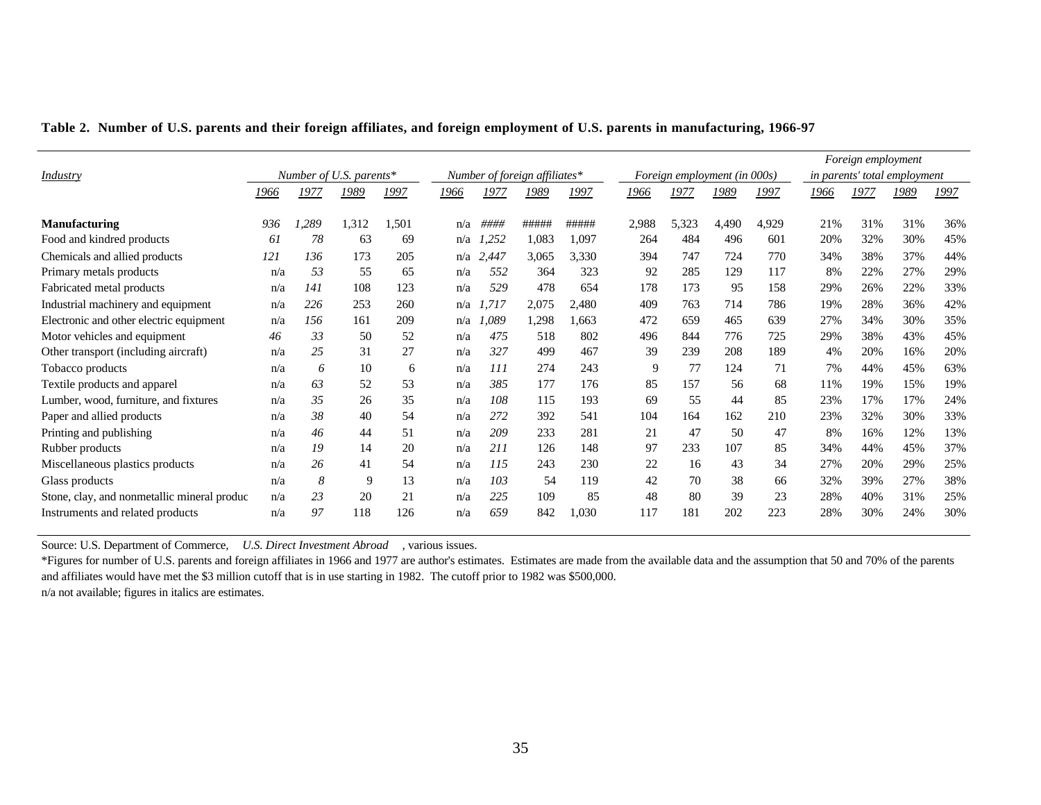|                                             |      |      |                         |       |      |       |                               |       |       |       |                              |       | Foreign employment |      |                              |      |
|---------------------------------------------|------|------|-------------------------|-------|------|-------|-------------------------------|-------|-------|-------|------------------------------|-------|--------------------|------|------------------------------|------|
| Industry                                    |      |      | Number of U.S. parents* |       |      |       | Number of foreign affiliates* |       |       |       | Foreign employment (in 000s) |       |                    |      | in parents' total employment |      |
|                                             | 1966 | 1977 | 1989                    | 1997  | 1966 | 1977  | 1989                          | 1997  | 1966  | 1977  | 1989                         | 1997  | 1966               | 1977 | 1989                         | 1997 |
| <b>Manufacturing</b>                        | 936  | ,289 | 1,312                   | 1,501 | n/a  | ####  | #####                         | ##### | 2,988 | 5,323 | 4,490                        | 4,929 | 21%                | 31%  | 31%                          | 36%  |
| Food and kindred products                   | 61   | 78   | 63                      | 69    | n/a  | 1,252 | 1,083                         | 1,097 | 264   | 484   | 496                          | 601   | 20%                | 32%  | 30%                          | 45%  |
| Chemicals and allied products               | 121  | 136  | 173                     | 205   | n/a  | 2,447 | 3,065                         | 3,330 | 394   | 747   | 724                          | 770   | 34%                | 38%  | 37%                          | 44%  |
| Primary metals products                     | n/a  | 53   | 55                      | 65    | n/a  | 552   | 364                           | 323   | 92    | 285   | 129                          | 117   | 8%                 | 22%  | 27%                          | 29%  |
| Fabricated metal products                   | n/a  | 141  | 108                     | 123   | n/a  | 529   | 478                           | 654   | 178   | 173   | 95                           | 158   | 29%                | 26%  | 22%                          | 33%  |
| Industrial machinery and equipment          | n/a  | 226  | 253                     | 260   | n/a  | 1,717 | 2,075                         | 2,480 | 409   | 763   | 714                          | 786   | 19%                | 28%  | 36%                          | 42%  |
| Electronic and other electric equipment     | n/a  | 156  | 161                     | 209   | n/a  | ,089  | 1,298                         | 1,663 | 472   | 659   | 465                          | 639   | 27%                | 34%  | 30%                          | 35%  |
| Motor vehicles and equipment                | 46   | 33   | 50                      | 52    | n/a  | 475   | 518                           | 802   | 496   | 844   | 776                          | 725   | 29%                | 38%  | 43%                          | 45%  |
| Other transport (including aircraft)        | n/a  | 25   | 31                      | 27    | n/a  | 327   | 499                           | 467   | 39    | 239   | 208                          | 189   | 4%                 | 20%  | 16%                          | 20%  |
| Tobacco products                            | n/a  | 6    | 10                      | 6     | n/a  | 111   | 274                           | 243   | 9     | 77    | 124                          | 71    | 7%                 | 44%  | 45%                          | 63%  |
| Textile products and apparel                | n/a  | 63   | 52                      | 53    | n/a  | 385   | 177                           | 176   | 85    | 157   | 56                           | 68    | 11%                | 19%  | 15%                          | 19%  |
| Lumber, wood, furniture, and fixtures       | n/a  | 35   | 26                      | 35    | n/a  | 108   | 115                           | 193   | 69    | 55    | 44                           | 85    | 23%                | 17%  | 17%                          | 24%  |
| Paper and allied products                   | n/a  | 38   | 40                      | 54    | n/a  | 272   | 392                           | 541   | 104   | 164   | 162                          | 210   | 23%                | 32%  | 30%                          | 33%  |
| Printing and publishing                     | n/a  | 46   | 44                      | 51    | n/a  | 209   | 233                           | 281   | 21    | 47    | 50                           | 47    | 8%                 | 16%  | 12%                          | 13%  |
| Rubber products                             | n/a  | 19   | 14                      | 20    | n/a  | 211   | 126                           | 148   | 97    | 233   | 107                          | 85    | 34%                | 44%  | 45%                          | 37%  |
| Miscellaneous plastics products             | n/a  | 26   | 41                      | 54    | n/a  | 115   | 243                           | 230   | 22    | 16    | 43                           | 34    | 27%                | 20%  | 29%                          | 25%  |
| Glass products                              | n/a  | 8    | 9                       | 13    | n/a  | 103   | 54                            | 119   | 42    | 70    | 38                           | 66    | 32%                | 39%  | 27%                          | 38%  |
| Stone, clay, and nonmetallic mineral produc | n/a  | 23   | 20                      | 21    | n/a  | 225   | 109                           | 85    | 48    | 80    | 39                           | 23    | 28%                | 40%  | 31%                          | 25%  |
| Instruments and related products            | n/a  | 97   | 118                     | 126   | n/a  | 659   | 842                           | 1,030 | 117   | 181   | 202                          | 223   | 28%                | 30%  | 24%                          | 30%  |

**Table 2. Number of U.S. parents and their foreign affiliates, and foreign employment of U.S. parents in manufacturing, 1966-97**

Source: U.S. Department of Commerce, *U.S. Direct Investment Abroad* , various issues.

\*Figures for number of U.S. parents and foreign affiliates in 1966 and 1977 are author's estimates. Estimates are made from the available data and the assumption that 50 and 70% of the parents and affiliates would have met the \$3 million cutoff that is in use starting in 1982. The cutoff prior to 1982 was \$500,000. n/a not available; figures in italics are estimates.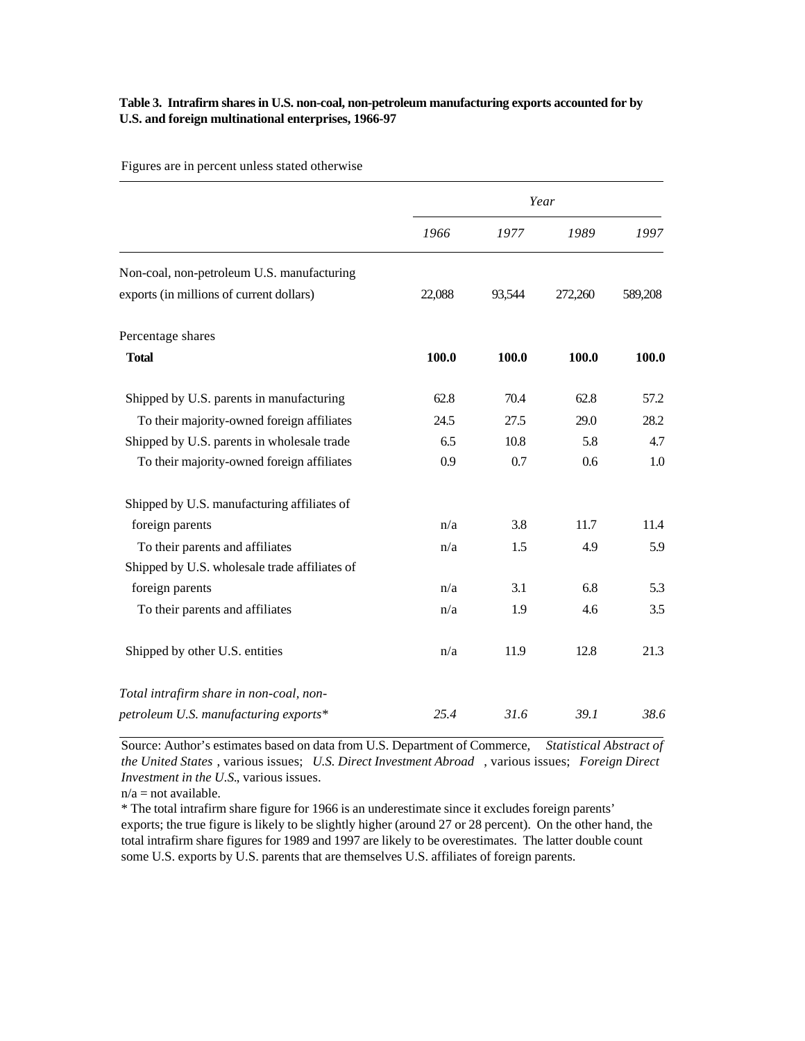#### **Table 3. Intrafirm shares in U.S. non-coal, non-petroleum manufacturing exports accounted for by U.S. and foreign multinational enterprises, 1966-97**

|                                               |        | Year   |         |         |
|-----------------------------------------------|--------|--------|---------|---------|
|                                               | 1966   | 1977   | 1989    | 1997    |
| Non-coal, non-petroleum U.S. manufacturing    |        |        |         |         |
| exports (in millions of current dollars)      | 22,088 | 93,544 | 272,260 | 589,208 |
| Percentage shares                             |        |        |         |         |
| <b>Total</b>                                  | 100.0  | 100.0  | 100.0   | 100.0   |
| Shipped by U.S. parents in manufacturing      | 62.8   | 70.4   | 62.8    | 57.2    |
| To their majority-owned foreign affiliates    | 24.5   | 27.5   | 29.0    | 28.2    |
| Shipped by U.S. parents in wholesale trade    | 6.5    | 10.8   | 5.8     | 4.7     |
| To their majority-owned foreign affiliates    | 0.9    | 0.7    | 0.6     | 1.0     |
| Shipped by U.S. manufacturing affiliates of   |        |        |         |         |
| foreign parents                               | n/a    | 3.8    | 11.7    | 11.4    |
| To their parents and affiliates               | n/a    | 1.5    | 4.9     | 5.9     |
| Shipped by U.S. wholesale trade affiliates of |        |        |         |         |
| foreign parents                               | n/a    | 3.1    | 6.8     | 5.3     |
| To their parents and affiliates               | n/a    | 1.9    | 4.6     | 3.5     |
| Shipped by other U.S. entities                | n/a    | 11.9   | 12.8    | 21.3    |
| Total intrafirm share in non-coal, non-       |        |        |         |         |
| petroleum U.S. manufacturing exports*         | 25.4   | 31.6   | 39.1    | 38.6    |

Figures are in percent unless stated otherwise

Source: Author's estimates based on data from U.S. Department of Commerce, *Statistical Abstract of the United States* , various issues; *U.S. Direct Investment Abroad* , various issues; *Foreign Direct Investment in the U.S.*, various issues.

 $n/a = not available.$ 

\* The total intrafirm share figure for 1966 is an underestimate since it excludes foreign parents' exports; the true figure is likely to be slightly higher (around 27 or 28 percent). On the other hand, the total intrafirm share figures for 1989 and 1997 are likely to be overestimates. The latter double count some U.S. exports by U.S. parents that are themselves U.S. affiliates of foreign parents.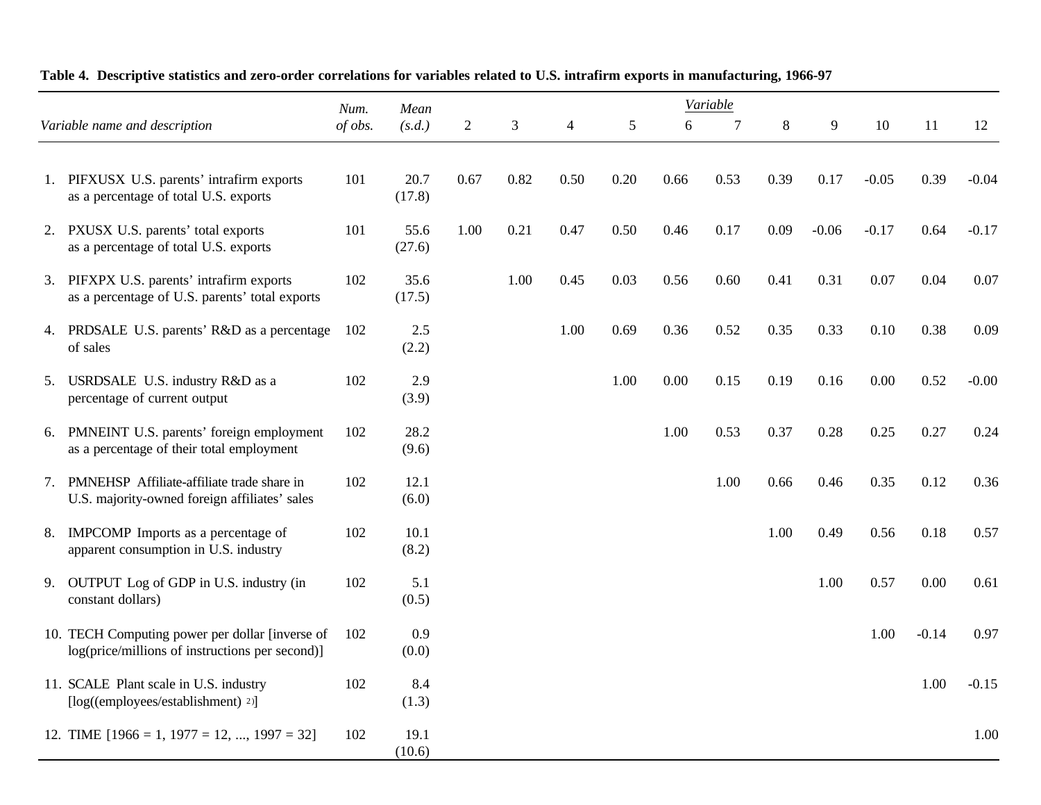|    |                                                                                                    | Num.    | Mean           |              |      |                |      |      | Variable |      |         |         |         |         |
|----|----------------------------------------------------------------------------------------------------|---------|----------------|--------------|------|----------------|------|------|----------|------|---------|---------|---------|---------|
|    | Variable name and description                                                                      | of obs. | (s.d.)         | $\mathbf{2}$ | 3    | $\overline{4}$ | 5    | 6    | $\tau$   | 8    | 9       | 10      | 11      | 12      |
|    |                                                                                                    |         |                |              |      |                |      |      |          |      |         |         |         |         |
|    | 1. PIFXUSX U.S. parents' intrafirm exports<br>as a percentage of total U.S. exports                | 101     | 20.7<br>(17.8) | 0.67         | 0.82 | 0.50           | 0.20 | 0.66 | 0.53     | 0.39 | 0.17    | $-0.05$ | 0.39    | $-0.04$ |
|    | 2. PXUSX U.S. parents' total exports<br>as a percentage of total U.S. exports                      | 101     | 55.6<br>(27.6) | 1.00         | 0.21 | 0.47           | 0.50 | 0.46 | 0.17     | 0.09 | $-0.06$ | $-0.17$ | 0.64    | $-0.17$ |
|    | 3. PIFXPX U.S. parents' intrafirm exports<br>as a percentage of U.S. parents' total exports        | 102     | 35.6<br>(17.5) |              | 1.00 | 0.45           | 0.03 | 0.56 | 0.60     | 0.41 | 0.31    | 0.07    | 0.04    | 0.07    |
| 4. | PRDSALE U.S. parents' R&D as a percentage<br>of sales                                              | 102     | 2.5<br>(2.2)   |              |      | 1.00           | 0.69 | 0.36 | 0.52     | 0.35 | 0.33    | 0.10    | 0.38    | 0.09    |
|    | 5. USRDSALE U.S. industry R&D as a<br>percentage of current output                                 | 102     | 2.9<br>(3.9)   |              |      |                | 1.00 | 0.00 | 0.15     | 0.19 | 0.16    | 0.00    | 0.52    | $-0.00$ |
|    | 6. PMNEINT U.S. parents' foreign employment<br>as a percentage of their total employment           | 102     | 28.2<br>(9.6)  |              |      |                |      | 1.00 | 0.53     | 0.37 | 0.28    | 0.25    | 0.27    | 0.24    |
|    | 7. PMNEHSP Affiliate-affiliate trade share in<br>U.S. majority-owned foreign affiliates' sales     | 102     | 12.1<br>(6.0)  |              |      |                |      |      | 1.00     | 0.66 | 0.46    | 0.35    | 0.12    | 0.36    |
|    | 8. IMPCOMP Imports as a percentage of<br>apparent consumption in U.S. industry                     | 102     | 10.1<br>(8.2)  |              |      |                |      |      |          | 1.00 | 0.49    | 0.56    | 0.18    | 0.57    |
| 9. | OUTPUT Log of GDP in U.S. industry (in<br>constant dollars)                                        | 102     | 5.1<br>(0.5)   |              |      |                |      |      |          |      | 1.00    | 0.57    | 0.00    | 0.61    |
|    | 10. TECH Computing power per dollar [inverse of<br>log(price/millions of instructions per second)] | 102     | 0.9<br>(0.0)   |              |      |                |      |      |          |      |         | 1.00    | $-0.14$ | 0.97    |
|    | 11. SCALE Plant scale in U.S. industry<br>[log((employees/establishment) 2)]                       | 102     | 8.4<br>(1.3)   |              |      |                |      |      |          |      |         |         | 1.00    | $-0.15$ |
|    | 12. TIME $[1966 = 1, 1977 = 12, , 1997 = 32]$                                                      | 102     | 19.1<br>(10.6) |              |      |                |      |      |          |      |         |         |         | 1.00    |

### **Table 4. Descriptive statistics and zero-order correlations for variables related to U.S. intrafirm exports in manufacturing, 1966-97**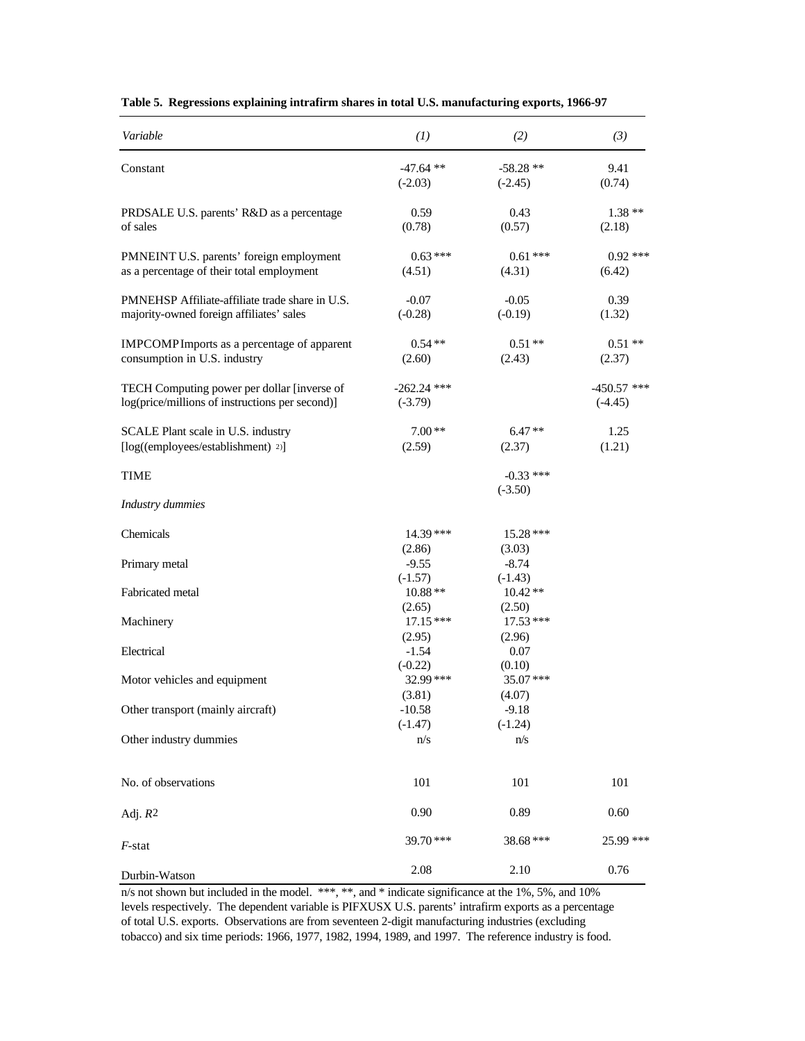| Variable                                        | (1)                  | (2)                | (3)           |
|-------------------------------------------------|----------------------|--------------------|---------------|
| Constant                                        | $-47.64$ **          | $-58.28**$         | 9.41          |
|                                                 | $(-2.03)$            | $(-2.45)$          | (0.74)        |
| PRDSALE U.S. parents' R&D as a percentage       | 0.59                 | 0.43               | $1.38**$      |
| of sales                                        | (0.78)               | (0.57)             | (2.18)        |
| PMNEINT U.S. parents' foreign employment        | $0.63***$            | $0.61***$          | $0.92$ ***    |
| as a percentage of their total employment       | (4.51)               | (4.31)             | (6.42)        |
| PMNEHSP Affiliate-affiliate trade share in U.S. | $-0.07$              | $-0.05$            | 0.39          |
| majority-owned foreign affiliates' sales        | $(-0.28)$            | $(-0.19)$          | (1.32)        |
| IMPCOMP Imports as a percentage of apparent     | $0.54**$             | $0.51**$           | $0.51**$      |
| consumption in U.S. industry                    | (2.60)               | (2.43)             | (2.37)        |
| TECH Computing power per dollar [inverse of     | $-262.24$ ***        |                    | $-450.57$ *** |
| log(price/millions of instructions per second)] | $(-3.79)$            |                    | $(-4.45)$     |
| SCALE Plant scale in U.S. industry              | $7.00**$             | $6.47**$           | 1.25          |
| [log((employees/establishment) 2)]              | (2.59)               | (2.37)             | (1.21)        |
| TIME                                            |                      | $-0.33$ ***        |               |
| <b>Industry dummies</b>                         |                      | $(-3.50)$          |               |
| Chemicals                                       | 14.39 ***            | 15.28 ***          |               |
|                                                 | (2.86)               | (3.03)             |               |
| Primary metal                                   | $-9.55$              | $-8.74$            |               |
|                                                 | $(-1.57)$            | $(-1.43)$          |               |
| Fabricated metal                                | $10.88**$            | $10.42**$          |               |
|                                                 | (2.65)               | (2.50)             |               |
| Machinery                                       | $17.15***$           | $17.53$ ***        |               |
|                                                 | (2.95)               | (2.96)             |               |
| Electrical                                      | $-1.54$<br>$(-0.22)$ | 0.07               |               |
|                                                 | 32.99 ***            | (0.10)<br>35.07*** |               |
| Motor vehicles and equipment                    | (3.81)               |                    |               |
| Other transport (mainly aircraft)               | $-10.58$             | (4.07)<br>$-9.18$  |               |
|                                                 | $(-1.47)$            | $(-1.24)$          |               |
| Other industry dummies                          | n/s                  | n/s                |               |
|                                                 |                      |                    |               |
| No. of observations                             | 101                  | 101                | 101           |
| Adj. $R^2$                                      | 0.90                 | 0.89               | 0.60          |
| F-stat                                          | 39.70***             | 38.68 ***          | 25.99 ***     |
| Durbin-Watson                                   | 2.08                 | 2.10               | 0.76          |

#### **Table 5. Regressions explaining intrafirm shares in total U.S. manufacturing exports, 1966-97**

n/s not shown but included in the model. \*\*\*, \*\*, and \* indicate significance at the 1%, 5%, and 10% levels respectively. The dependent variable is PIFXUSX U.S. parents' intrafirm exports as a percentage of total U.S. exports. Observations are from seventeen 2-digit manufacturing industries (excluding tobacco) and six time periods: 1966, 1977, 1982, 1994, 1989, and 1997. The reference industry is food.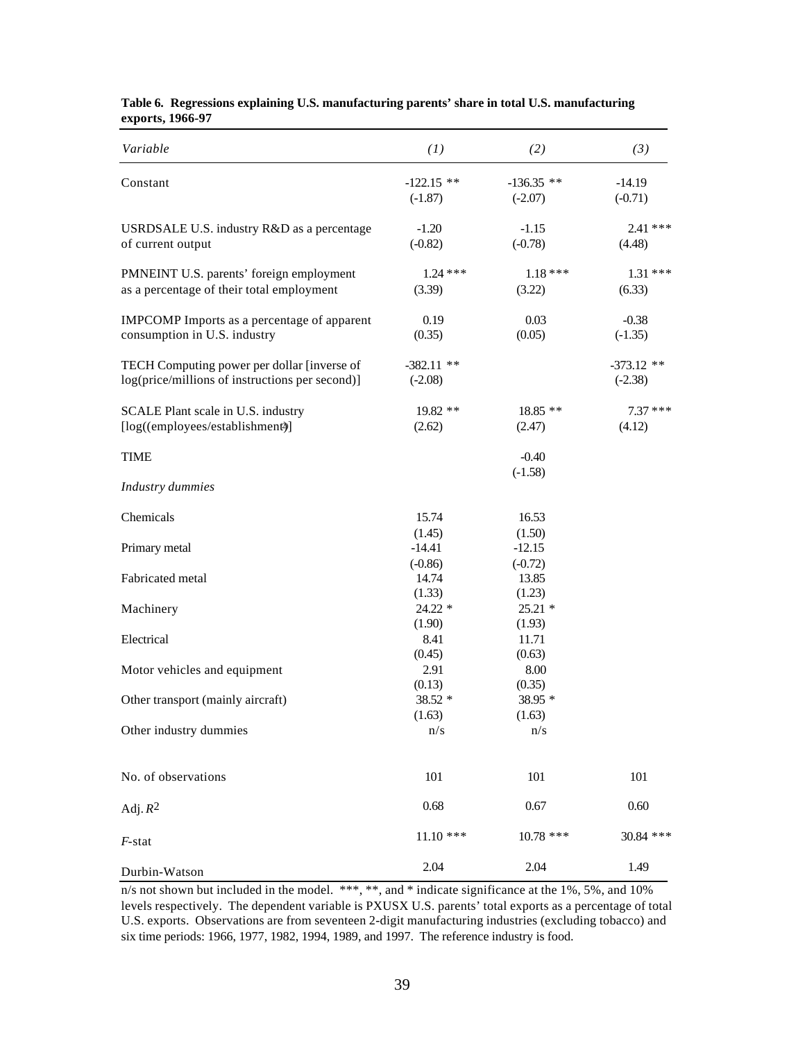| Variable                                                                                       | (1)                          | (2)                          | (3)                       |
|------------------------------------------------------------------------------------------------|------------------------------|------------------------------|---------------------------|
| Constant                                                                                       | $-122.15$ **<br>$(-1.87)$    | $-136.35$ **<br>$(-2.07)$    | $-14.19$<br>$(-0.71)$     |
| USRDSALE U.S. industry R&D as a percentage<br>of current output                                | $-1.20$<br>$(-0.82)$         | $-1.15$<br>$(-0.78)$         | $2.41***$<br>(4.48)       |
| PMNEINT U.S. parents' foreign employment<br>as a percentage of their total employment          | $1.24$ ***<br>(3.39)         | $1.18***$<br>(3.22)          | $1.31***$<br>(6.33)       |
| IMPCOMP Imports as a percentage of apparent<br>consumption in U.S. industry                    | 0.19<br>(0.35)               | 0.03<br>(0.05)               | $-0.38$<br>$(-1.35)$      |
| TECH Computing power per dollar [inverse of<br>log(price/millions of instructions per second)] | $-382.11$ **<br>$(-2.08)$    |                              | $-373.12$ **<br>$(-2.38)$ |
| SCALE Plant scale in U.S. industry<br>[log((employees/establishment?)]                         | $19.82**$<br>(2.62)          | 18.85 **<br>(2.47)           | $7.37***$<br>(4.12)       |
| <b>TIME</b>                                                                                    |                              | $-0.40$                      |                           |
| Industry dummies                                                                               |                              | $(-1.58)$                    |                           |
| Chemicals                                                                                      | 15.74                        | 16.53                        |                           |
| Primary metal                                                                                  | (1.45)<br>$-14.41$           | (1.50)<br>$-12.15$           |                           |
| Fabricated metal                                                                               | $(-0.86)$<br>14.74<br>(1.33) | $(-0.72)$<br>13.85<br>(1.23) |                           |
| Machinery                                                                                      | $24.22*$<br>(1.90)           | $25.21*$<br>(1.93)           |                           |
| Electrical                                                                                     | 8.41<br>(0.45)               | 11.71<br>(0.63)              |                           |
| Motor vehicles and equipment                                                                   | 2.91<br>(0.13)               | 8.00<br>(0.35)               |                           |
| Other transport (mainly aircraft)                                                              | 38.52 *<br>(1.63)            | 38.95 *<br>(1.63)            |                           |
| Other industry dummies                                                                         | n/s                          | n/s                          |                           |
| No. of observations                                                                            | 101                          | 101                          | 101                       |
| Adj. $R^2$                                                                                     | 0.68                         | 0.67                         | 0.60                      |
| $F$ -stat                                                                                      | $11.10$ ***                  | $10.78$ ***                  | 30.84 ***                 |
| Durbin-Watson                                                                                  | 2.04                         | 2.04                         | 1.49                      |

#### **Table 6. Regressions explaining U.S. manufacturing parents' share in total U.S. manufacturing exports, 1966-97**

 $n/s$  not shown but included in the model. \*\*\*, \*\*, and \* indicate significance at the 1%, 5%, and 10% levels respectively. The dependent variable is PXUSX U.S. parents' total exports as a percentage of total U.S. exports. Observations are from seventeen 2-digit manufacturing industries (excluding tobacco) and six time periods: 1966, 1977, 1982, 1994, 1989, and 1997. The reference industry is food.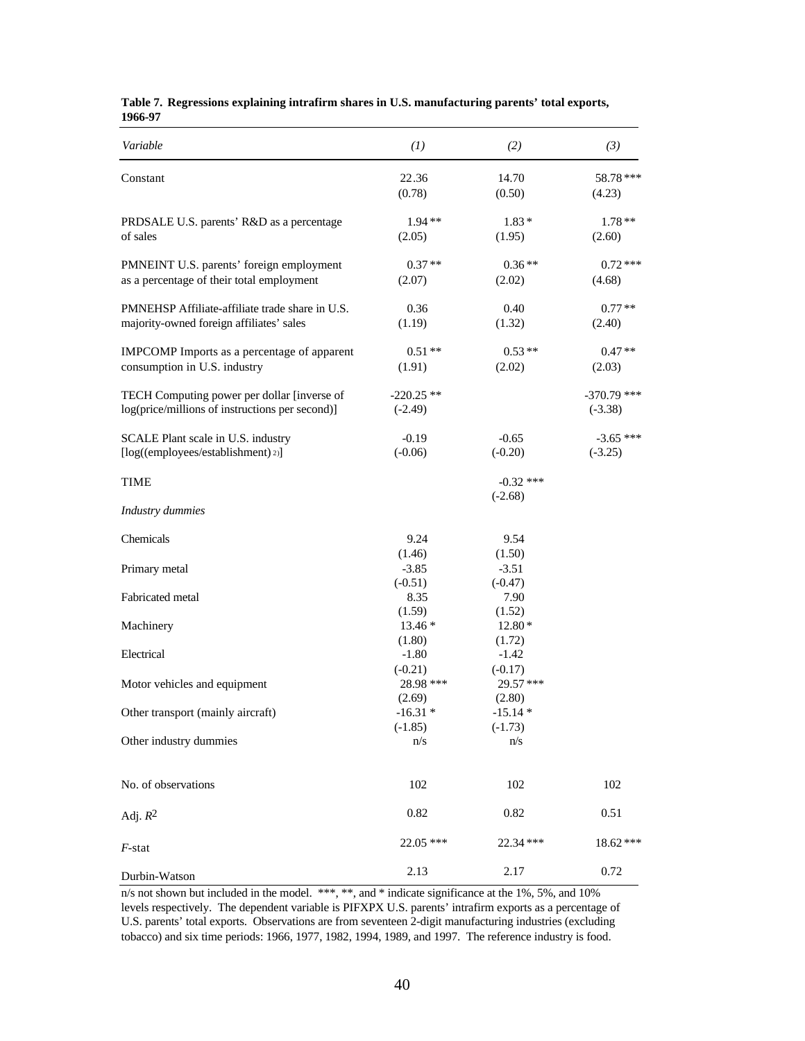| Variable                                                                                       | (1)                            | (2)                            | (3)                        |
|------------------------------------------------------------------------------------------------|--------------------------------|--------------------------------|----------------------------|
| Constant                                                                                       | 22.36<br>(0.78)                | 14.70<br>(0.50)                | 58.78 ***<br>(4.23)        |
| PRDSALE U.S. parents' R&D as a percentage<br>of sales                                          | $1.94**$<br>(2.05)             | $1.83*$<br>(1.95)              | $1.78**$<br>(2.60)         |
| PMNEINT U.S. parents' foreign employment<br>as a percentage of their total employment          | $0.37**$<br>(2.07)             | $0.36**$<br>(2.02)             | $0.72***$<br>(4.68)        |
| PMNEHSP Affiliate-affiliate trade share in U.S.<br>majority-owned foreign affiliates' sales    | 0.36<br>(1.19)                 | 0.40<br>(1.32)                 | $0.77**$<br>(2.40)         |
| IMPCOMP Imports as a percentage of apparent<br>consumption in U.S. industry                    | $0.51**$<br>(1.91)             | $0.53**$<br>(2.02)             | $0.47**$<br>(2.03)         |
| TECH Computing power per dollar [inverse of<br>log(price/millions of instructions per second)] | $-220.25$ **<br>$(-2.49)$      |                                | $-370.79$ ***<br>$(-3.38)$ |
| SCALE Plant scale in U.S. industry<br>[log((employees/establishment) 2)]                       | $-0.19$<br>$(-0.06)$           | $-0.65$<br>$(-0.20)$           | $-3.65$ ***<br>$(-3.25)$   |
| <b>TIME</b>                                                                                    |                                | $-0.32$ ***<br>$(-2.68)$       |                            |
| <b>Industry dummies</b>                                                                        |                                |                                |                            |
| Chemicals                                                                                      | 9.24                           | 9.54                           |                            |
| Primary metal                                                                                  | (1.46)<br>$-3.85$              | (1.50)<br>$-3.51$              |                            |
| Fabricated metal                                                                               | $(-0.51)$<br>8.35<br>(1.59)    | $(-0.47)$<br>7.90<br>(1.52)    |                            |
| Machinery                                                                                      | $13.46*$                       | $12.80*$                       |                            |
| Electrical                                                                                     | (1.80)<br>$-1.80$<br>$(-0.21)$ | (1.72)<br>$-1.42$<br>$(-0.17)$ |                            |
| Motor vehicles and equipment                                                                   | 28.98 ***<br>(2.69)            | 29.57***<br>(2.80)             |                            |
| Other transport (mainly aircraft)                                                              | $-16.31*$<br>$(-1.85)$         | $-15.14*$<br>$(-1.73)$         |                            |
| Other industry dummies                                                                         | n/s                            | n/s                            |                            |
| No. of observations                                                                            | 102                            | 102                            | 102                        |
| Adj. $R^2$                                                                                     | 0.82                           | 0.82                           | 0.51                       |
| F-stat                                                                                         | 22.05 ***                      | 22.34 ***                      | 18.62 ***                  |
| Durbin-Watson                                                                                  | 2.13                           | 2.17                           | 0.72                       |

|         | Table 7. Regressions explaining intrafirm shares in U.S. manufacturing parents' total exports, |  |
|---------|------------------------------------------------------------------------------------------------|--|
| 1966-97 |                                                                                                |  |

n/s not shown but included in the model. \*\*\*, \*\*, and \* indicate significance at the 1%, 5%, and 10% levels respectively. The dependent variable is PIFXPX U.S. parents' intrafirm exports as a percentage of U.S. parents' total exports. Observations are from seventeen 2-digit manufacturing industries (excluding tobacco) and six time periods: 1966, 1977, 1982, 1994, 1989, and 1997. The reference industry is food.